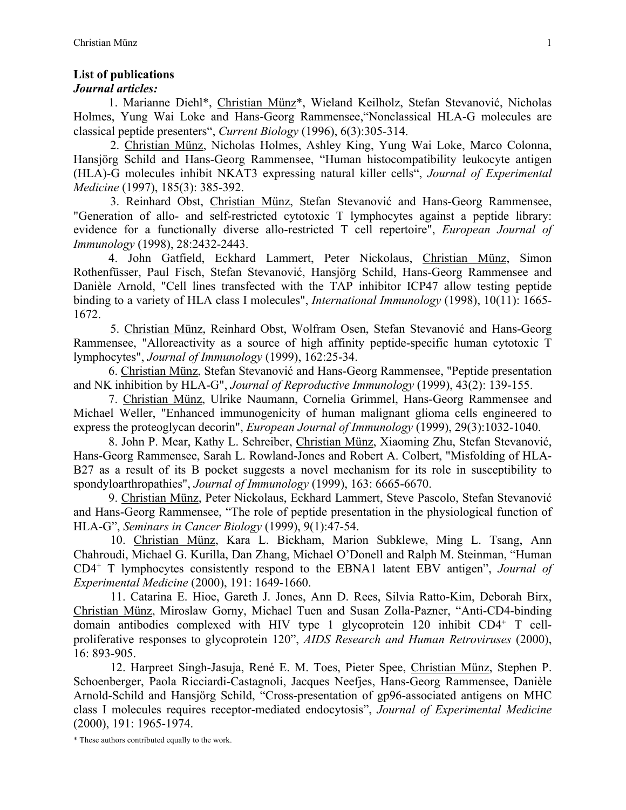## **List of publications**

## *Journal articles:*

1. Marianne Diehl\*, Christian Münz\*, Wieland Keilholz, Stefan Stevanović, Nicholas Holmes, Yung Wai Loke and Hans-Georg Rammensee,"Nonclassical HLA-G molecules are classical peptide presenters", *Current Biology* (1996), 6(3):305-314.

2. Christian Münz, Nicholas Holmes, Ashley King, Yung Wai Loke, Marco Colonna, Hansjörg Schild and Hans-Georg Rammensee, "Human histocompatibility leukocyte antigen (HLA)-G molecules inhibit NKAT3 expressing natural killer cells", *Journal of Experimental Medicine* (1997), 185(3): 385-392.

3. Reinhard Obst, Christian Münz, Stefan Stevanović and Hans-Georg Rammensee, "Generation of allo- and self-restricted cytotoxic T lymphocytes against a peptide library: evidence for a functionally diverse allo-restricted T cell repertoire", *European Journal of Immunology* (1998), 28:2432-2443.

4. John Gatfield, Eckhard Lammert, Peter Nickolaus, Christian Münz, Simon Rothenfüsser, Paul Fisch, Stefan Stevanović, Hansjörg Schild, Hans-Georg Rammensee and Danièle Arnold, "Cell lines transfected with the TAP inhibitor ICP47 allow testing peptide binding to a variety of HLA class I molecules", *International Immunology* (1998), 10(11): 1665- 1672.

5. Christian Münz, Reinhard Obst, Wolfram Osen, Stefan Stevanović and Hans-Georg Rammensee, "Alloreactivity as a source of high affinity peptide-specific human cytotoxic T lymphocytes", *Journal of Immunology* (1999), 162:25-34.

6. Christian Münz, Stefan Stevanović and Hans-Georg Rammensee, "Peptide presentation and NK inhibition by HLA-G", *Journal of Reproductive Immunology* (1999), 43(2): 139-155.

7. Christian Münz, Ulrike Naumann, Cornelia Grimmel, Hans-Georg Rammensee and Michael Weller, "Enhanced immunogenicity of human malignant glioma cells engineered to express the proteoglycan decorin", *European Journal of Immunology* (1999), 29(3):1032-1040.

8. John P. Mear, Kathy L. Schreiber, Christian Münz, Xiaoming Zhu, Stefan Stevanović, Hans-Georg Rammensee, Sarah L. Rowland-Jones and Robert A. Colbert, "Misfolding of HLA-B27 as a result of its B pocket suggests a novel mechanism for its role in susceptibility to spondyloarthropathies", *Journal of Immunology* (1999), 163: 6665-6670.

9. Christian Münz, Peter Nickolaus, Eckhard Lammert, Steve Pascolo, Stefan Stevanović and Hans-Georg Rammensee, "The role of peptide presentation in the physiological function of HLA-G", *Seminars in Cancer Biology* (1999), 9(1):47-54.

10. Christian Münz, Kara L. Bickham, Marion Subklewe, Ming L. Tsang, Ann Chahroudi, Michael G. Kurilla, Dan Zhang, Michael O'Donell and Ralph M. Steinman, "Human CD4+ T lymphocytes consistently respond to the EBNA1 latent EBV antigen", *Journal of Experimental Medicine* (2000), 191: 1649-1660.

11. Catarina E. Hioe, Gareth J. Jones, Ann D. Rees, Silvia Ratto-Kim, Deborah Birx, Christian Münz, Miroslaw Gorny, Michael Tuen and Susan Zolla-Pazner, "Anti-CD4-binding domain antibodies complexed with HIV type 1 glycoprotein 120 inhibit CD4+ T cellproliferative responses to glycoprotein 120", *AIDS Research and Human Retroviruses* (2000), 16: 893-905.

12. Harpreet Singh-Jasuja, René E. M. Toes, Pieter Spee, Christian Münz, Stephen P. Schoenberger, Paola Ricciardi-Castagnoli, Jacques Neefjes, Hans-Georg Rammensee, Danièle Arnold-Schild and Hansjörg Schild, "Cross-presentation of gp96-associated antigens on MHC class I molecules requires receptor-mediated endocytosis", *Journal of Experimental Medicine* (2000), 191: 1965-1974.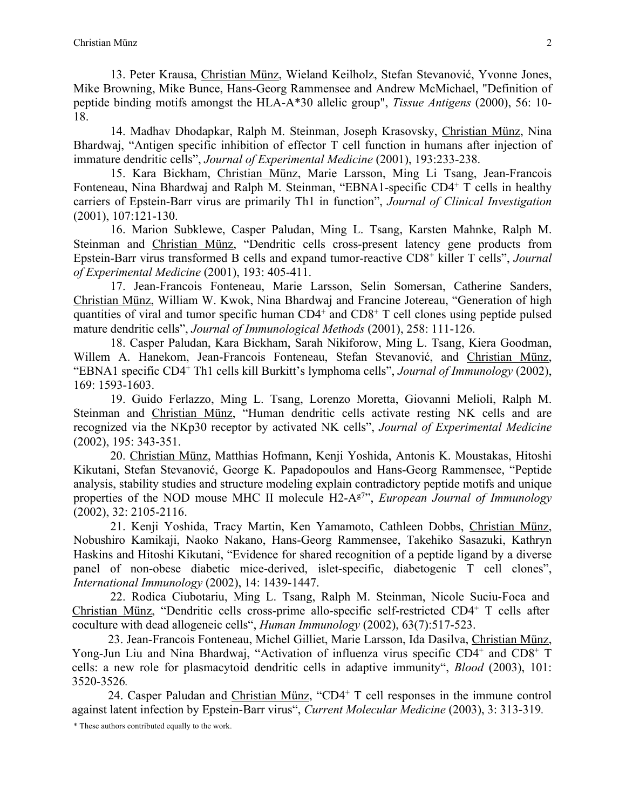13. Peter Krausa, Christian Münz, Wieland Keilholz, Stefan Stevanović, Yvonne Jones, Mike Browning, Mike Bunce, Hans-Georg Rammensee and Andrew McMichael, "Definition of peptide binding motifs amongst the HLA-A\*30 allelic group", *Tissue Antigens* (2000), 56: 10- 18.

14. Madhav Dhodapkar, Ralph M. Steinman, Joseph Krasovsky, Christian Münz, Nina Bhardwaj, "Antigen specific inhibition of effector T cell function in humans after injection of immature dendritic cells", *Journal of Experimental Medicine* (2001), 193:233-238.

15. Kara Bickham, Christian Münz, Marie Larsson, Ming Li Tsang, Jean-Francois Fonteneau, Nina Bhardwaj and Ralph M. Steinman, "EBNA1-specific CD4+ T cells in healthy carriers of Epstein-Barr virus are primarily Th1 in function", *Journal of Clinical Investigation*  (2001), 107:121-130.

16. Marion Subklewe, Casper Paludan, Ming L. Tsang, Karsten Mahnke, Ralph M. Steinman and Christian Münz, "Dendritic cells cross-present latency gene products from Epstein-Barr virus transformed B cells and expand tumor-reactive CD8+ killer T cells", *Journal of Experimental Medicine* (2001), 193: 405-411.

17. Jean-Francois Fonteneau, Marie Larsson, Selin Somersan, Catherine Sanders, Christian Münz, William W. Kwok, Nina Bhardwaj and Francine Jotereau, "Generation of high quantities of viral and tumor specific human  $CD4^+$  and  $CD8^+$  T cell clones using peptide pulsed mature dendritic cells", *Journal of Immunological Methods* (2001), 258: 111-126.

18. Casper Paludan, Kara Bickham, Sarah Nikiforow, Ming L. Tsang, Kiera Goodman, Willem A. Hanekom, Jean-Francois Fonteneau, Stefan Stevanović, and Christian Münz, "EBNA1 specific CD4+ Th1 cells kill Burkitt's lymphoma cells", *Journal of Immunology* (2002), 169: 1593-1603.

19. Guido Ferlazzo, Ming L. Tsang, Lorenzo Moretta, Giovanni Melioli, Ralph M. Steinman and Christian Münz, "Human dendritic cells activate resting NK cells and are recognized via the NKp30 receptor by activated NK cells", *Journal of Experimental Medicine* (2002), 195: 343-351.

20. Christian Münz, Matthias Hofmann, Kenji Yoshida, Antonis K. Moustakas, Hitoshi Kikutani, Stefan Stevanović, George K. Papadopoulos and Hans-Georg Rammensee, "Peptide analysis, stability studies and structure modeling explain contradictory peptide motifs and unique properties of the NOD mouse MHC II molecule H2-Ag7", *European Journal of Immunology* (2002), 32: 2105-2116.

21. Kenji Yoshida, Tracy Martin, Ken Yamamoto, Cathleen Dobbs, Christian Münz, Nobushiro Kamikaji, Naoko Nakano, Hans-Georg Rammensee, Takehiko Sasazuki, Kathryn Haskins and Hitoshi Kikutani, "Evidence for shared recognition of a peptide ligand by a diverse panel of non-obese diabetic mice-derived, islet-specific, diabetogenic T cell clones", *International Immunology* (2002), 14: 1439-1447.

22. Rodica Ciubotariu, Ming L. Tsang, Ralph M. Steinman, Nicole Suciu-Foca and Christian Münz, "Dendritic cells cross-prime allo-specific self-restricted CD4+ T cells after coculture with dead allogeneic cells", *Human Immunology* (2002), 63(7):517-523.

23. Jean-Francois Fonteneau, Michel Gilliet, Marie Larsson, Ida Dasilva, Christian Münz, Yong-Jun Liu and Nina Bhardwaj, "Activation of influenza virus specific CD4<sup>+</sup> and CD8<sup>+</sup> T cells: a new role for plasmacytoid dendritic cells in adaptive immunity", *Blood* (2003), 101: 3520-3526*.*

24. Casper Paludan and Christian Münz, "CD4+ T cell responses in the immune control against latent infection by Epstein-Barr virus", *Current Molecular Medicine* (2003), 3: 313-319*.*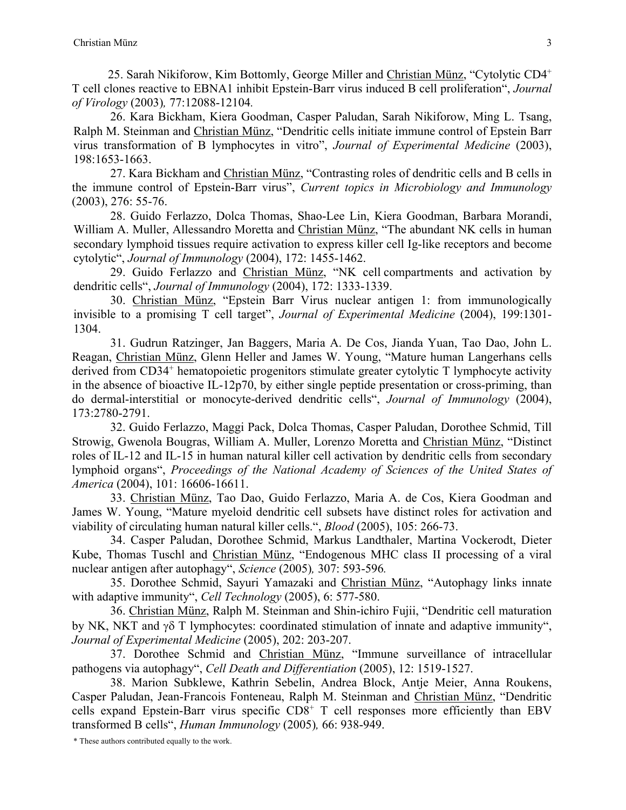25. Sarah Nikiforow, Kim Bottomly, George Miller and Christian Münz, "Cytolytic CD4+ T cell clones reactive to EBNA1 inhibit Epstein-Barr virus induced B cell proliferation", *Journal of Virology* (2003)*,* 77:12088-12104*.*

26. Kara Bickham, Kiera Goodman, Casper Paludan, Sarah Nikiforow, Ming L. Tsang, Ralph M. Steinman and Christian Münz, "Dendritic cells initiate immune control of Epstein Barr virus transformation of B lymphocytes in vitro", *Journal of Experimental Medicine* (2003), 198:1653-1663.

27. Kara Bickham and Christian Münz, "Contrasting roles of dendritic cells and B cells in the immune control of Epstein-Barr virus", *Current topics in Microbiology and Immunology*  (2003), 276: 55-76.

28. Guido Ferlazzo, Dolca Thomas, Shao-Lee Lin, Kiera Goodman, Barbara Morandi, William A. Muller, Allessandro Moretta and Christian Münz, "The abundant NK cells in human secondary lymphoid tissues require activation to express killer cell Ig-like receptors and become cytolytic", *Journal of Immunology* (2004), 172: 1455-1462.

29. Guido Ferlazzo and Christian Münz, "NK cell compartments and activation by dendritic cells", *Journal of Immunology* (2004), 172: 1333-1339.

30. Christian Münz, "Epstein Barr Virus nuclear antigen 1: from immunologically invisible to a promising T cell target", *Journal of Experimental Medicine* (2004), 199:1301- 1304.

31. Gudrun Ratzinger, Jan Baggers, Maria A. De Cos, Jianda Yuan, Tao Dao, John L. Reagan, Christian Münz, Glenn Heller and James W. Young, "Mature human Langerhans cells derived from CD34<sup>+</sup> hematopoietic progenitors stimulate greater cytolytic T lymphocyte activity in the absence of bioactive IL-12p70, by either single peptide presentation or cross-priming, than do dermal-interstitial or monocyte-derived dendritic cells", *Journal of Immunology* (2004), 173:2780-2791.

32. Guido Ferlazzo, Maggi Pack, Dolca Thomas, Casper Paludan, Dorothee Schmid, Till Strowig, Gwenola Bougras, William A. Muller, Lorenzo Moretta and Christian Münz, "Distinct roles of IL-12 and IL-15 in human natural killer cell activation by dendritic cells from secondary lymphoid organs", *Proceedings of the National Academy of Sciences of the United States of America* (2004), 101: 16606-16611.

33. Christian Münz, Tao Dao, Guido Ferlazzo, Maria A. de Cos, Kiera Goodman and James W. Young, "Mature myeloid dendritic cell subsets have distinct roles for activation and viability of circulating human natural killer cells.", *Blood* (2005), 105: 266-73.

34. Casper Paludan, Dorothee Schmid, Markus Landthaler, Martina Vockerodt, Dieter Kube, Thomas Tuschl and Christian Münz, "Endogenous MHC class II processing of a viral nuclear antigen after autophagy", *Science* (2005)*,* 307: 593-596*.*

35. Dorothee Schmid, Sayuri Yamazaki and Christian Münz, "Autophagy links innate with adaptive immunity", *Cell Technology* (2005), 6: 577-580.

36. Christian Münz, Ralph M. Steinman and Shin-ichiro Fujii, "Dendritic cell maturation by NK, NKT and  $\gamma\delta$  T lymphocytes: coordinated stimulation of innate and adaptive immunity", *Journal of Experimental Medicine* (2005), 202: 203-207.

37. Dorothee Schmid and Christian Münz, "Immune surveillance of intracellular pathogens via autophagy", *Cell Death and Differentiation* (2005), 12: 1519-1527.

38. Marion Subklewe, Kathrin Sebelin, Andrea Block, Antje Meier, Anna Roukens, Casper Paludan, Jean-Francois Fonteneau, Ralph M. Steinman and Christian Münz, "Dendritic cells expand Epstein-Barr virus specific  $CD8<sup>+</sup>$  T cell responses more efficiently than EBV transformed B cells", *Human Immunology* (2005)*,* 66: 938-949.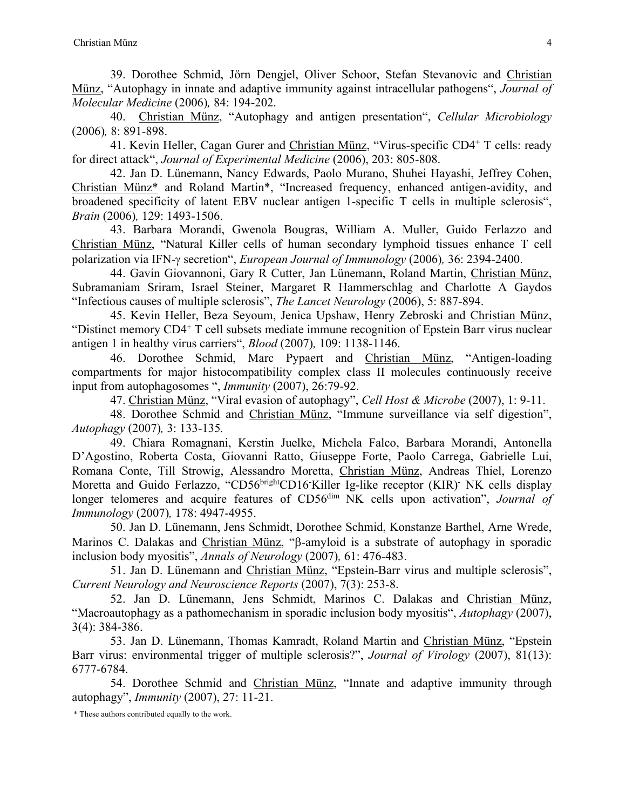39. Dorothee Schmid, Jörn Dengjel, Oliver Schoor, Stefan Stevanovic and Christian Münz, "Autophagy in innate and adaptive immunity against intracellular pathogens", *Journal of Molecular Medicine* (2006)*,* 84: 194-202.

40. Christian Münz, "Autophagy and antigen presentation", *Cellular Microbiology* (2006)*,* 8: 891-898.

41. Kevin Heller, Cagan Gurer and Christian Münz, "Virus-specific CD4+ T cells: ready for direct attack", *Journal of Experimental Medicine* (2006), 203: 805-808.

42. Jan D. Lünemann, Nancy Edwards, Paolo Murano, Shuhei Hayashi, Jeffrey Cohen, Christian Münz\* and Roland Martin\*, "Increased frequency, enhanced antigen-avidity, and broadened specificity of latent EBV nuclear antigen 1-specific T cells in multiple sclerosis", *Brain* (2006)*,* 129: 1493-1506.

43. Barbara Morandi, Gwenola Bougras, William A. Muller, Guido Ferlazzo and Christian Münz, "Natural Killer cells of human secondary lymphoid tissues enhance T cell polarization via IFN-g secretion", *European Journal of Immunology* (2006)*,* 36: 2394-2400.

44. Gavin Giovannoni, Gary R Cutter, Jan Lünemann, Roland Martin, Christian Münz, Subramaniam Sriram, Israel Steiner, Margaret R Hammerschlag and Charlotte A Gaydos "Infectious causes of multiple sclerosis", *The Lancet Neurology* (2006), 5: 887-894.

45. Kevin Heller, Beza Seyoum, Jenica Upshaw, Henry Zebroski and Christian Münz, "Distinct memory CD4+ T cell subsets mediate immune recognition of Epstein Barr virus nuclear antigen 1 in healthy virus carriers", *Blood* (2007)*,* 109: 1138-1146.

46. Dorothee Schmid, Marc Pypaert and Christian Münz, "Antigen-loading compartments for major histocompatibility complex class II molecules continuously receive input from autophagosomes ", *Immunity* (2007), 26:79-92.

47. Christian Münz, "Viral evasion of autophagy", *Cell Host & Microbe* (2007), 1: 9-11.

48. Dorothee Schmid and Christian Münz, "Immune surveillance via self digestion", *Autophagy* (2007)*,* 3: 133-135*.*

49. Chiara Romagnani, Kerstin Juelke, Michela Falco, Barbara Morandi, Antonella D'Agostino, Roberta Costa, Giovanni Ratto, Giuseppe Forte, Paolo Carrega, Gabrielle Lui, Romana Conte, Till Strowig, Alessandro Moretta, Christian Münz, Andreas Thiel, Lorenzo Moretta and Guido Ferlazzo, "CD56<sup>bright</sup>CD16 Killer Ig-like receptor (KIR)<sup>-</sup> NK cells display longer telomeres and acquire features of CD56<sup>dim</sup> NK cells upon activation", *Journal of Immunology* (2007)*,* 178: 4947-4955.

50. Jan D. Lünemann, Jens Schmidt, Dorothee Schmid, Konstanze Barthel, Arne Wrede, Marinos C. Dalakas and Christian Münz, "B-amyloid is a substrate of autophagy in sporadic inclusion body myositis", *Annals of Neurology* (2007)*,* 61: 476-483.

51. Jan D. Lünemann and Christian Münz, "Epstein-Barr virus and multiple sclerosis", *Current Neurology and Neuroscience Reports* (2007), 7(3): 253-8.

52. Jan D. Lünemann, Jens Schmidt, Marinos C. Dalakas and Christian Münz, "Macroautophagy as a pathomechanism in sporadic inclusion body myositis", *Autophagy* (2007), 3(4): 384-386.

53. Jan D. Lünemann, Thomas Kamradt, Roland Martin and Christian Münz, "Epstein Barr virus: environmental trigger of multiple sclerosis?", *Journal of Virology* (2007), 81(13): 6777-6784.

54. Dorothee Schmid and Christian Münz, "Innate and adaptive immunity through autophagy", *Immunity* (2007), 27: 11-21.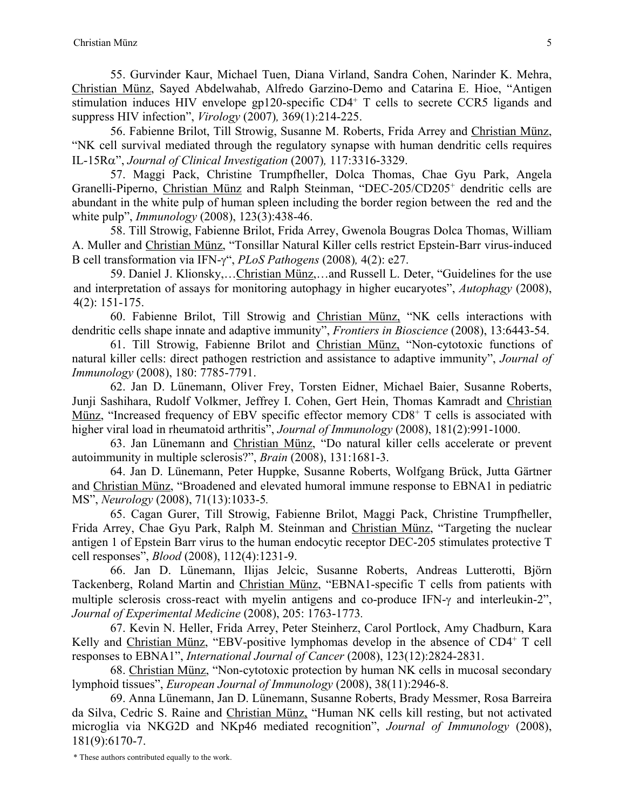55. Gurvinder Kaur, Michael Tuen, Diana Virland, Sandra Cohen, Narinder K. Mehra, Christian Münz, Sayed Abdelwahab, Alfredo Garzino-Demo and Catarina E. Hioe, "Antigen stimulation induces HIV envelope gp120-specific CD4<sup>+</sup> T cells to secrete CCR5 ligands and suppress HIV infection", *Virology* (2007)*,* 369(1):214-225.

56. Fabienne Brilot, Till Strowig, Susanne M. Roberts, Frida Arrey and Christian Münz, "NK cell survival mediated through the regulatory synapse with human dendritic cells requires IL-15Ra", *Journal of Clinical Investigation* (2007)*,* 117:3316-3329.

57. Maggi Pack, Christine Trumpfheller, Dolca Thomas, Chae Gyu Park, Angela Granelli-Piperno, Christian Münz and Ralph Steinman, "DEC-205/CD205+ dendritic cells are abundant in the white pulp of human spleen including the border region between the red and the white pulp", *Immunology* (2008), 123(3):438-46.

58. Till Strowig, Fabienne Brilot, Frida Arrey, Gwenola Bougras Dolca Thomas, William A. Muller and Christian Münz, "Tonsillar Natural Killer cells restrict Epstein-Barr virus-induced B cell transformation via IFN-g", *PLoS Pathogens* (2008)*,* 4(2): e27.

59. Daniel J. Klionsky,…Christian Münz,…and Russell L. Deter, "Guidelines for the use and interpretation of assays for monitoring autophagy in higher eucaryotes", *Autophagy* (2008), 4(2): 151-175.

60. Fabienne Brilot, Till Strowig and Christian Münz, "NK cells interactions with dendritic cells shape innate and adaptive immunity", *Frontiers in Bioscience* (2008), 13:6443-54.

61. Till Strowig, Fabienne Brilot and Christian Münz, "Non-cytotoxic functions of natural killer cells: direct pathogen restriction and assistance to adaptive immunity", *Journal of Immunology* (2008), 180: 7785-7791.

62. Jan D. Lünemann, Oliver Frey, Torsten Eidner, Michael Baier, Susanne Roberts, Junji Sashihara, Rudolf Volkmer, Jeffrey I. Cohen, Gert Hein, Thomas Kamradt and Christian Münz, "Increased frequency of EBV specific effector memory CD8<sup>+</sup> T cells is associated with higher viral load in rheumatoid arthritis", *Journal of Immunology* (2008), 181(2):991-1000.

63. Jan Lünemann and Christian Münz, "Do natural killer cells accelerate or prevent autoimmunity in multiple sclerosis?", *Brain* (2008), 131:1681-3.

64. Jan D. Lünemann, Peter Huppke, Susanne Roberts, Wolfgang Brück, Jutta Gärtner and Christian Münz, "Broadened and elevated humoral immune response to EBNA1 in pediatric MS", *Neurology* (2008), 71(13):1033-5*.*

65. Cagan Gurer, Till Strowig, Fabienne Brilot, Maggi Pack, Christine Trumpfheller, Frida Arrey, Chae Gyu Park, Ralph M. Steinman and Christian Münz, "Targeting the nuclear antigen 1 of Epstein Barr virus to the human endocytic receptor DEC-205 stimulates protective T cell responses", *Blood* (2008), 112(4):1231-9.

66. Jan D. Lünemann, Ilijas Jelcic, Susanne Roberts, Andreas Lutterotti, Björn Tackenberg, Roland Martin and Christian Münz, "EBNA1-specific T cells from patients with multiple sclerosis cross-react with myelin antigens and co-produce IFN- $\gamma$  and interleukin-2", *Journal of Experimental Medicine* (2008), 205: 1763-1773*.*

67. Kevin N. Heller, Frida Arrey, Peter Steinherz, Carol Portlock, Amy Chadburn, Kara Kelly and Christian Münz, "EBV-positive lymphomas develop in the absence of CD4+ T cell responses to EBNA1", *International Journal of Cancer* (2008), 123(12):2824-2831.

68. Christian Münz, "Non-cytotoxic protection by human NK cells in mucosal secondary lymphoid tissues", *European Journal of Immunology* (2008), 38(11):2946-8.

69. Anna Lünemann, Jan D. Lünemann, Susanne Roberts, Brady Messmer, Rosa Barreira da Silva, Cedric S. Raine and Christian Münz, "Human NK cells kill resting, but not activated microglia via NKG2D and NKp46 mediated recognition", *Journal of Immunology* (2008), 181(9):6170-7.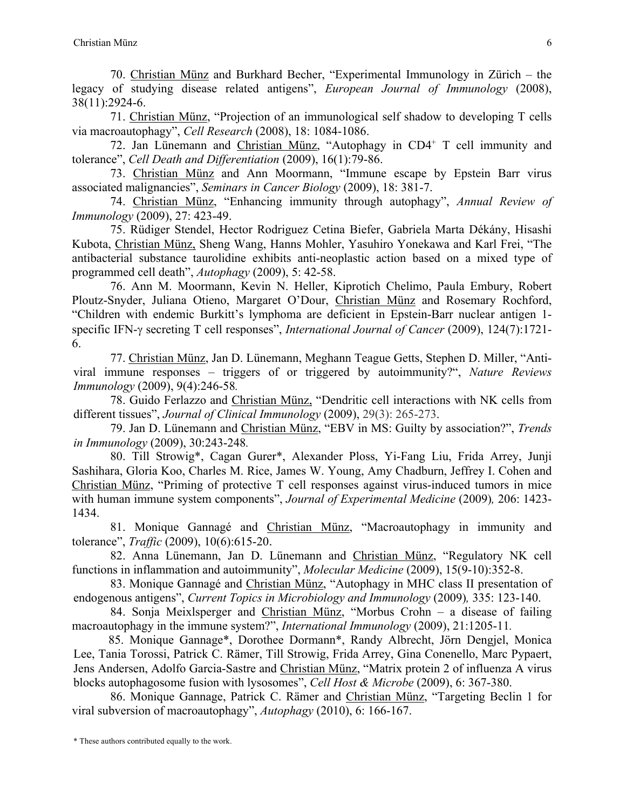70. Christian Münz and Burkhard Becher, "Experimental Immunology in Zürich – the legacy of studying disease related antigens", *European Journal of Immunology* (2008), 38(11):2924-6.

71. Christian Münz, "Projection of an immunological self shadow to developing T cells via macroautophagy", *Cell Research* (2008), 18: 1084-1086.

72. Jan Lünemann and Christian Münz, "Autophagy in CD4+ T cell immunity and tolerance", *Cell Death and Differentiation* (2009), 16(1):79-86.

73. Christian Münz and Ann Moormann, "Immune escape by Epstein Barr virus associated malignancies", *Seminars in Cancer Biology* (2009), 18: 381-7.

74. Christian Münz, "Enhancing immunity through autophagy", *Annual Review of Immunology* (2009), 27: 423-49.

75. Rüdiger Stendel, Hector Rodriguez Cetina Biefer, Gabriela Marta Dékány, Hisashi Kubota, Christian Münz, Sheng Wang, Hanns Mohler, Yasuhiro Yonekawa and Karl Frei, "The antibacterial substance taurolidine exhibits anti-neoplastic action based on a mixed type of programmed cell death", *Autophagy* (2009), 5: 42-58.

76. Ann M. Moormann, Kevin N. Heller, Kiprotich Chelimo, Paula Embury, Robert Ploutz-Snyder, Juliana Otieno, Margaret O'Dour, Christian Münz and Rosemary Rochford, "Children with endemic Burkitt's lymphoma are deficient in Epstein-Barr nuclear antigen 1 specific IFN-g secreting T cell responses", *International Journal of Cancer* (2009), 124(7):1721- 6.

77. Christian Münz, Jan D. Lünemann, Meghann Teague Getts, Stephen D. Miller, "Antiviral immune responses – triggers of or triggered by autoimmunity?", *Nature Reviews Immunology* (2009), 9(4):246-58*.*

78. Guido Ferlazzo and Christian Münz, "Dendritic cell interactions with NK cells from different tissues", *Journal of Clinical Immunology* (2009), 29(3): 265-273.

79. Jan D. Lünemann and Christian Münz, "EBV in MS: Guilty by association?", *Trends in Immunology* (2009), 30:243-248*.*

80. Till Strowig\*, Cagan Gurer\*, Alexander Ploss, Yi-Fang Liu, Frida Arrey, Junji Sashihara, Gloria Koo, Charles M. Rice, James W. Young, Amy Chadburn, Jeffrey I. Cohen and Christian Münz, "Priming of protective T cell responses against virus-induced tumors in mice with human immune system components", *Journal of Experimental Medicine* (2009)*,* 206: 1423- 1434.

81. Monique Gannagé and Christian Münz, "Macroautophagy in immunity and tolerance", *Traffic* (2009), 10(6):615-20.

82. Anna Lünemann, Jan D. Lünemann and Christian Münz, "Regulatory NK cell functions in inflammation and autoimmunity", *Molecular Medicine* (2009), 15(9-10):352-8.

83. Monique Gannagé and Christian Münz, "Autophagy in MHC class II presentation of endogenous antigens", *Current Topics in Microbiology and Immunology* (2009)*,* 335: 123-140.

84. Sonja Meixlsperger and Christian Münz, "Morbus Crohn – a disease of failing macroautophagy in the immune system?", *International Immunology* (2009), 21:1205-11*.*

85. Monique Gannage\*, Dorothee Dormann\*, Randy Albrecht, Jörn Dengjel, Monica Lee, Tania Torossi, Patrick C. Rämer, Till Strowig, Frida Arrey, Gina Conenello, Marc Pypaert, Jens Andersen, Adolfo Garcia-Sastre and Christian Münz, "Matrix protein 2 of influenza A virus blocks autophagosome fusion with lysosomes", *Cell Host & Microbe* (2009), 6: 367-380.

86. Monique Gannage, Patrick C. Rämer and Christian Münz, "Targeting Beclin 1 for viral subversion of macroautophagy", *Autophagy* (2010), 6: 166-167.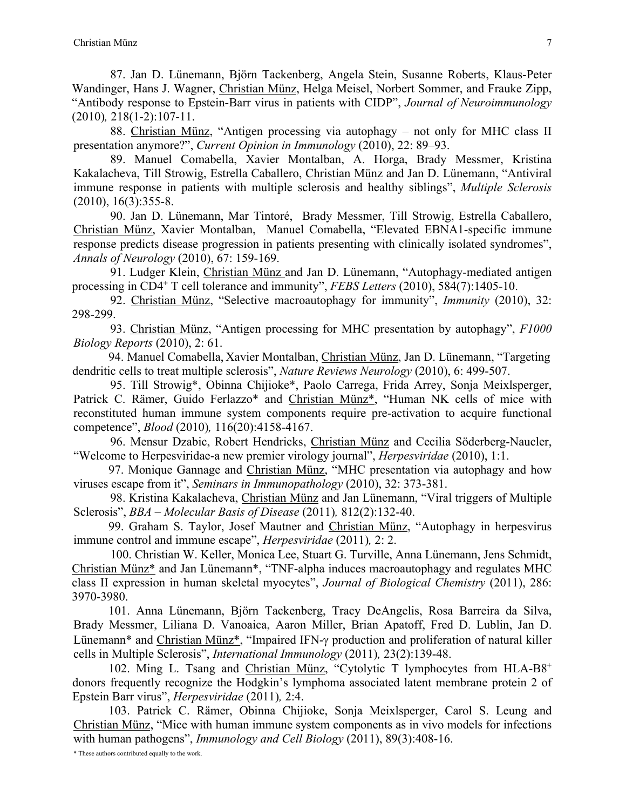87. Jan D. Lünemann, Björn Tackenberg, Angela Stein, Susanne Roberts, Klaus-Peter Wandinger, Hans J. Wagner, Christian Münz, Helga Meisel, Norbert Sommer, and Frauke Zipp, "Antibody response to Epstein-Barr virus in patients with CIDP", *Journal of Neuroimmunology*  (2010)*,* 218(1-2):107-11.

88. Christian Münz, "Antigen processing via autophagy – not only for MHC class II presentation anymore?", *Current Opinion in Immunology* (2010), 22: 89–93.

89. Manuel Comabella, Xavier Montalban, A. Horga, Brady Messmer, Kristina Kakalacheva, Till Strowig, Estrella Caballero, Christian Münz and Jan D. Lünemann, "Antiviral immune response in patients with multiple sclerosis and healthy siblings", *Multiple Sclerosis*   $(2010), 16(3):355-8.$ 

90. Jan D. Lünemann, Mar Tintoré, Brady Messmer, Till Strowig, Estrella Caballero, Christian Münz, Xavier Montalban, Manuel Comabella, "Elevated EBNA1-specific immune response predicts disease progression in patients presenting with clinically isolated syndromes", *Annals of Neurology* (2010), 67: 159-169.

91. Ludger Klein, Christian Münz and Jan D. Lünemann, "Autophagy-mediated antigen processing in CD4+ T cell tolerance and immunity", *FEBS Letters* (2010), 584(7):1405-10.

92. Christian Münz, "Selective macroautophagy for immunity", *Immunity* (2010), 32: 298-299.

93. Christian Münz, "Antigen processing for MHC presentation by autophagy", *F1000 Biology Reports* (2010), 2: 61.

94. Manuel Comabella, Xavier Montalban, Christian Münz, Jan D. Lünemann, "Targeting dendritic cells to treat multiple sclerosis", *Nature Reviews Neurology* (2010), 6: 499-507.

95. Till Strowig\*, Obinna Chijioke\*, Paolo Carrega, Frida Arrey, Sonja Meixlsperger, Patrick C. Rämer, Guido Ferlazzo\* and Christian Münz\*, "Human NK cells of mice with reconstituted human immune system components require pre-activation to acquire functional competence", *Blood* (2010)*,* 116(20):4158-4167.

96. Mensur Dzabic, Robert Hendricks, Christian Münz and Cecilia Söderberg-Naucler, "Welcome to Herpesviridae-a new premier virology journal", *Herpesviridae* (2010), 1:1.

97. Monique Gannage and Christian Münz, "MHC presentation via autophagy and how viruses escape from it", *Seminars in Immunopathology* (2010), 32: 373-381.

98. Kristina Kakalacheva, Christian Münz and Jan Lünemann, "Viral triggers of Multiple Sclerosis", *BBA – Molecular Basis of Disease* (2011)*,* 812(2):132-40.

99. Graham S. Taylor, Josef Mautner and Christian Münz, "Autophagy in herpesvirus immune control and immune escape", *Herpesviridae* (2011)*,* 2: 2.

100. Christian W. Keller, Monica Lee, Stuart G. Turville, Anna Lünemann, Jens Schmidt, Christian Münz\* and Jan Lünemann\*, "TNF-alpha induces macroautophagy and regulates MHC class II expression in human skeletal myocytes", *Journal of Biological Chemistry* (2011), 286: 3970-3980.

101. Anna Lünemann, Björn Tackenberg, Tracy DeAngelis, Rosa Barreira da Silva, Brady Messmer, Liliana D. Vanoaica, Aaron Miller, Brian Apatoff, Fred D. Lublin, Jan D. Lünemann\* and Christian Münz\*, "Impaired IFN-y production and proliferation of natural killer cells in Multiple Sclerosis", *International Immunology* (2011)*,* 23(2):139-48.

102. Ming L. Tsang and Christian Münz, "Cytolytic T lymphocytes from HLA-B8+ donors frequently recognize the Hodgkin's lymphoma associated latent membrane protein 2 of Epstein Barr virus", *Herpesviridae* (2011)*,* 2:4.

103. Patrick C. Rämer, Obinna Chijioke, Sonja Meixlsperger, Carol S. Leung and Christian Münz, "Mice with human immune system components as in vivo models for infections with human pathogens", *Immunology and Cell Biology* (2011), 89(3):408-16.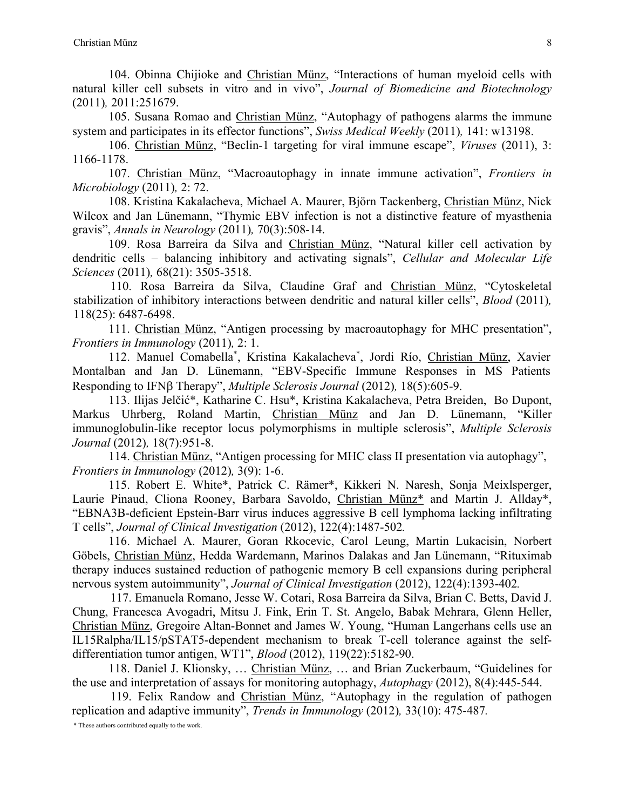104. Obinna Chijioke and Christian Münz, "Interactions of human myeloid cells with natural killer cell subsets in vitro and in vivo", *Journal of Biomedicine and Biotechnology* (2011)*,* 2011:251679.

105. Susana Romao and Christian Münz, "Autophagy of pathogens alarms the immune system and participates in its effector functions", *Swiss Medical Weekly* (2011)*,* 141: w13198.

106. Christian Münz, "Beclin-1 targeting for viral immune escape", *Viruses* (2011), 3: 1166-1178.

107. Christian Münz, "Macroautophagy in innate immune activation", *Frontiers in Microbiology* (2011)*,* 2: 72.

108. Kristina Kakalacheva, Michael A. Maurer, Björn Tackenberg, Christian Münz, Nick Wilcox and Jan Lünemann, "Thymic EBV infection is not a distinctive feature of myasthenia gravis", *Annals in Neurology* (2011)*,* 70(3):508-14.

109. Rosa Barreira da Silva and Christian Münz, "Natural killer cell activation by dendritic cells – balancing inhibitory and activating signals", *Cellular and Molecular Life Sciences* (2011)*,* 68(21): 3505-3518.

110. Rosa Barreira da Silva, Claudine Graf and Christian Münz, "Cytoskeletal stabilization of inhibitory interactions between dendritic and natural killer cells", *Blood* (2011)*,*  118(25): 6487-6498.

111. Christian Münz, "Antigen processing by macroautophagy for MHC presentation", *Frontiers in Immunology* (2011)*,* 2: 1.

112. Manuel Comabella\*, Kristina Kakalacheva\*, Jordi Río, Christian Münz, Xavier Montalban and Jan D. Lünemann, "EBV-Specific Immune Responses in MS Patients Responding to IFN<sub>B</sub> Therapy", *Multiple Sclerosis Journal* (2012), 18(5):605-9.

113. Ilijas Jelčić\*, Katharine C. Hsu\*, Kristina Kakalacheva, Petra Breiden, Bo Dupont, Markus Uhrberg, Roland Martin, Christian Münz and Jan D. Lünemann, "Killer immunoglobulin-like receptor locus polymorphisms in multiple sclerosis", *Multiple Sclerosis Journal* (2012)*,* 18(7):951-8.

114. Christian Münz, "Antigen processing for MHC class II presentation via autophagy", *Frontiers in Immunology* (2012)*,* 3(9): 1-6.

115. Robert E. White\*, Patrick C. Rämer\*, Kikkeri N. Naresh, Sonja Meixlsperger, Laurie Pinaud, Cliona Rooney, Barbara Savoldo, Christian Münz\* and Martin J. Allday\*, "EBNA3B-deficient Epstein-Barr virus induces aggressive B cell lymphoma lacking infiltrating T cells", *Journal of Clinical Investigation* (2012), 122(4):1487-502*.*

116. Michael A. Maurer, Goran Rkocevic, Carol Leung, Martin Lukacisin, Norbert Göbels, Christian Münz, Hedda Wardemann, Marinos Dalakas and Jan Lünemann, "Rituximab therapy induces sustained reduction of pathogenic memory B cell expansions during peripheral nervous system autoimmunity", *Journal of Clinical Investigation* (2012), 122(4):1393-402*.*

117. Emanuela Romano, Jesse W. Cotari, Rosa Barreira da Silva, Brian C. Betts, David J. Chung, Francesca Avogadri, Mitsu J. Fink, Erin T. St. Angelo, Babak Mehrara, Glenn Heller, Christian Münz, Gregoire Altan-Bonnet and James W. Young, "Human Langerhans cells use an IL15Ralpha/IL15/pSTAT5-dependent mechanism to break T-cell tolerance against the selfdifferentiation tumor antigen, WT1", *Blood* (2012), 119(22):5182-90.

118. Daniel J. Klionsky, … Christian Münz, … and Brian Zuckerbaum, "Guidelines for the use and interpretation of assays for monitoring autophagy, *Autophagy* (2012), 8(4):445-544.

119. Felix Randow and Christian Münz, "Autophagy in the regulation of pathogen replication and adaptive immunity", *Trends in Immunology* (2012)*,* 33(10): 475-487*.*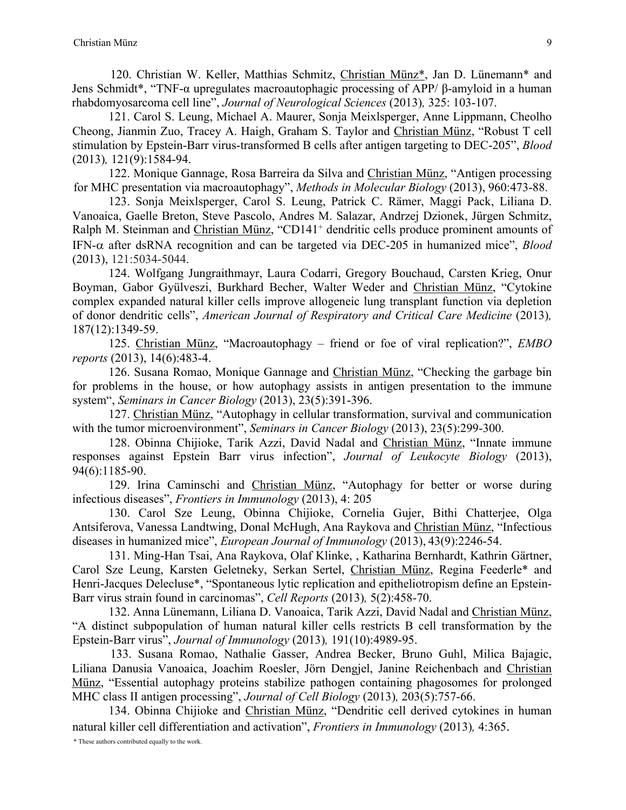120. Christian W. Keller, Matthias Schmitz, Christian Münz\*, Jan D. Lünemann\* and Jens Schmidt\*, "TNF-α upregulates macroautophagic processing of APP/ β-amyloid in a human rhabdomyosarcoma cell line", *Journal of Neurological Sciences* (2013)*,* 325: 103-107.

121. Carol S. Leung, Michael A. Maurer, Sonja Meixlsperger, Anne Lippmann, Cheolho Cheong, Jianmin Zuo, Tracey A. Haigh, Graham S. Taylor and Christian Münz, "Robust T cell stimulation by Epstein-Barr virus-transformed B cells after antigen targeting to DEC-205", *Blood* (2013)*,* 121(9):1584-94.

122. Monique Gannage, Rosa Barreira da Silva and Christian Münz, "Antigen processing for MHC presentation via macroautophagy", *Methods in Molecular Biology* (2013), 960:473-88.

123. Sonja Meixlsperger, Carol S. Leung, Patrick C. Rämer, Maggi Pack, Liliana D. Vanoaica, Gaelle Breton, Steve Pascolo, Andres M. Salazar, Andrzej Dzionek, Jürgen Schmitz, Ralph M. Steinman and Christian Münz, "CD141<sup>+</sup> dendritic cells produce prominent amounts of IFN-a after dsRNA recognition and can be targeted via DEC-205 in humanized mice", *Blood* (2013), 121:5034-5044.

124. Wolfgang Jungraithmayr, Laura Codarri, Gregory Bouchaud, Carsten Krieg, Onur Boyman, Gabor Gyülveszi, Burkhard Becher, Walter Weder and Christian Münz, "Cytokine complex expanded natural killer cells improve allogeneic lung transplant function via depletion of donor dendritic cells", *American Journal of Respiratory and Critical Care Medicine* (2013)*,*  187(12):1349-59.

125. Christian Münz, "Macroautophagy – friend or foe of viral replication?", *EMBO reports* (2013), 14(6):483-4.

126. Susana Romao, Monique Gannage and Christian Münz, "Checking the garbage bin for problems in the house, or how autophagy assists in antigen presentation to the immune system", *Seminars in Cancer Biology* (2013), 23(5):391-396.

127. Christian Münz, "Autophagy in cellular transformation, survival and communication with the tumor microenvironment", *Seminars in Cancer Biology* (2013), 23(5):299-300.

128. Obinna Chijioke, Tarik Azzi, David Nadal and Christian Münz, "Innate immune responses against Epstein Barr virus infection", *Journal of Leukocyte Biology* (2013), 94(6):1185-90.

129. Irina Caminschi and Christian Münz, "Autophagy for better or worse during infectious diseases", *Frontiers in Immunology* (2013), 4: 205

130. Carol Sze Leung, Obinna Chijioke, Cornelia Gujer, Bithi Chatterjee, Olga Antsiferova, Vanessa Landtwing, Donal McHugh, Ana Raykova and Christian Münz, "Infectious diseases in humanized mice", *European Journal of Immunology* (2013), 43(9):2246-54.

131. Ming-Han Tsai, Ana Raykova, Olaf Klinke, , Katharina Bernhardt, Kathrin Gärtner, Carol Sze Leung, Karsten Geletneky, Serkan Sertel, Christian Münz, Regina Feederle\* and Henri-Jacques Delecluse\*, "Spontaneous lytic replication and epitheliotropism define an Epstein-Barr virus strain found in carcinomas", *Cell Reports* (2013)*,* 5(2):458-70.

132. Anna Lünemann, Liliana D. Vanoaica, Tarik Azzi, David Nadal and Christian Münz, "A distinct subpopulation of human natural killer cells restricts B cell transformation by the Epstein-Barr virus", *Journal of Immunology* (2013)*,* 191(10):4989-95.

133. Susana Romao, Nathalie Gasser, Andrea Becker, Bruno Guhl, Milica Bajagic, Liliana Danusia Vanoaica, Joachim Roesler, Jörn Dengjel, Janine Reichenbach and Christian Münz, "Essential autophagy proteins stabilize pathogen containing phagosomes for prolonged MHC class II antigen processing", *Journal of Cell Biology* (2013)*,* 203(5):757-66.

134. Obinna Chijioke and Christian Münz, "Dendritic cell derived cytokines in human natural killer cell differentiation and activation", *Frontiers in Immunology* (2013)*,* 4:365.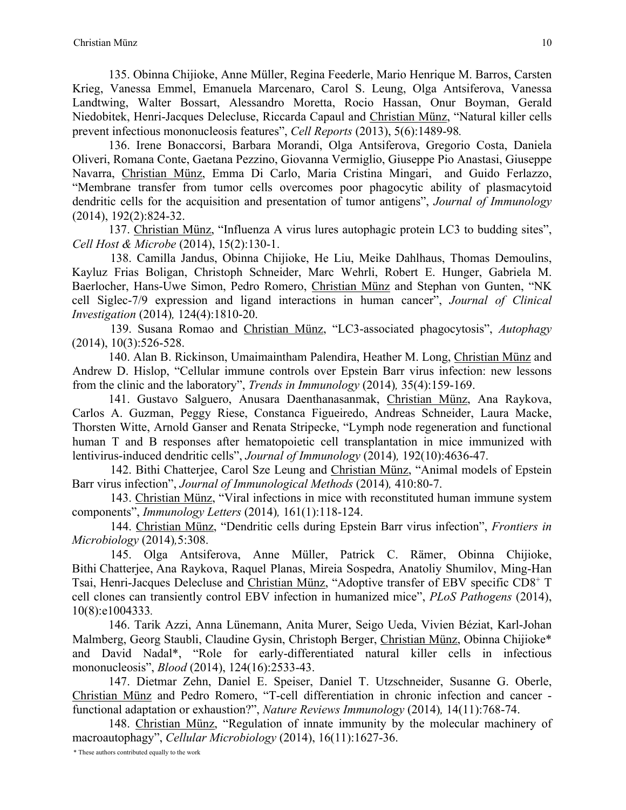135. Obinna Chijioke, Anne Müller, Regina Feederle, Mario Henrique M. Barros, Carsten Krieg, Vanessa Emmel, Emanuela Marcenaro, Carol S. Leung, Olga Antsiferova, Vanessa Landtwing, Walter Bossart, Alessandro Moretta, Rocio Hassan, Onur Boyman, Gerald Niedobitek, Henri-Jacques Delecluse, Riccarda Capaul and Christian Münz, "Natural killer cells prevent infectious mononucleosis features", *Cell Reports* (2013), 5(6):1489-98*.*

136. Irene Bonaccorsi, Barbara Morandi, Olga Antsiferova, Gregorio Costa, Daniela Oliveri, Romana Conte, Gaetana Pezzino, Giovanna Vermiglio, Giuseppe Pio Anastasi, Giuseppe Navarra, Christian Münz, Emma Di Carlo, Maria Cristina Mingari, and Guido Ferlazzo, "Membrane transfer from tumor cells overcomes poor phagocytic ability of plasmacytoid dendritic cells for the acquisition and presentation of tumor antigens", *Journal of Immunology* (2014), 192(2):824-32.

137. Christian Münz, "Influenza A virus lures autophagic protein LC3 to budding sites", *Cell Host & Microbe* (2014), 15(2):130-1.

138. Camilla Jandus, Obinna Chijioke, He Liu, Meike Dahlhaus, Thomas Demoulins, Kayluz Frias Boligan, Christoph Schneider, Marc Wehrli, Robert E. Hunger, Gabriela M. Baerlocher, Hans-Uwe Simon, Pedro Romero, Christian Münz and Stephan von Gunten, "NK cell Siglec-7/9 expression and ligand interactions in human cancer", *Journal of Clinical Investigation* (2014)*,* 124(4):1810-20.

139. Susana Romao and Christian Münz, "LC3-associated phagocytosis", *Autophagy* (2014), 10(3):526-528.

140. Alan B. Rickinson, Umaimaintham Palendira, Heather M. Long, Christian Münz and Andrew D. Hislop, "Cellular immune controls over Epstein Barr virus infection: new lessons from the clinic and the laboratory", *Trends in Immunology* (2014)*,* 35(4):159-169.

141. Gustavo Salguero, Anusara Daenthanasanmak, Christian Münz, Ana Raykova, Carlos A. Guzman, Peggy Riese, Constanca Figueiredo, Andreas Schneider, Laura Macke, Thorsten Witte, Arnold Ganser and Renata Stripecke, "Lymph node regeneration and functional human T and B responses after hematopoietic cell transplantation in mice immunized with lentivirus-induced dendritic cells", *Journal of Immunology* (2014)*,* 192(10):4636-47.

142. Bithi Chatterjee, Carol Sze Leung and Christian Münz, "Animal models of Epstein Barr virus infection", *Journal of Immunological Methods* (2014)*,* 410:80-7.

143. Christian Münz, "Viral infections in mice with reconstituted human immune system components", *Immunology Letters* (2014)*,* 161(1):118-124.

144. Christian Münz, "Dendritic cells during Epstein Barr virus infection", *Frontiers in Microbiology* (2014)*,*5:308.

145. Olga Antsiferova, Anne Müller, Patrick C. Rämer, Obinna Chijioke, Bithi Chatterjee, Ana Raykova, Raquel Planas, Mireia Sospedra, Anatoliy Shumilov, Ming-Han Tsai, Henri-Jacques Delecluse and Christian Münz, "Adoptive transfer of EBV specific CD8+ T cell clones can transiently control EBV infection in humanized mice", *PLoS Pathogens* (2014), 10(8):e1004333*.*

146. Tarik Azzi, Anna Lünemann, Anita Murer, Seigo Ueda, Vivien Béziat, Karl-Johan Malmberg, Georg Staubli, Claudine Gysin, Christoph Berger, Christian Münz, Obinna Chijioke\* and David Nadal\*, "Role for early-differentiated natural killer cells in infectious mononucleosis", *Blood* (2014), 124(16):2533-43.

147. Dietmar Zehn, Daniel E. Speiser, Daniel T. Utzschneider, Susanne G. Oberle, Christian Münz and Pedro Romero, "T-cell differentiation in chronic infection and cancer functional adaptation or exhaustion?", *Nature Reviews Immunology* (2014)*,* 14(11):768-74.

148. Christian Münz, "Regulation of innate immunity by the molecular machinery of macroautophagy", *Cellular Microbiology* (2014), 16(11):1627-36.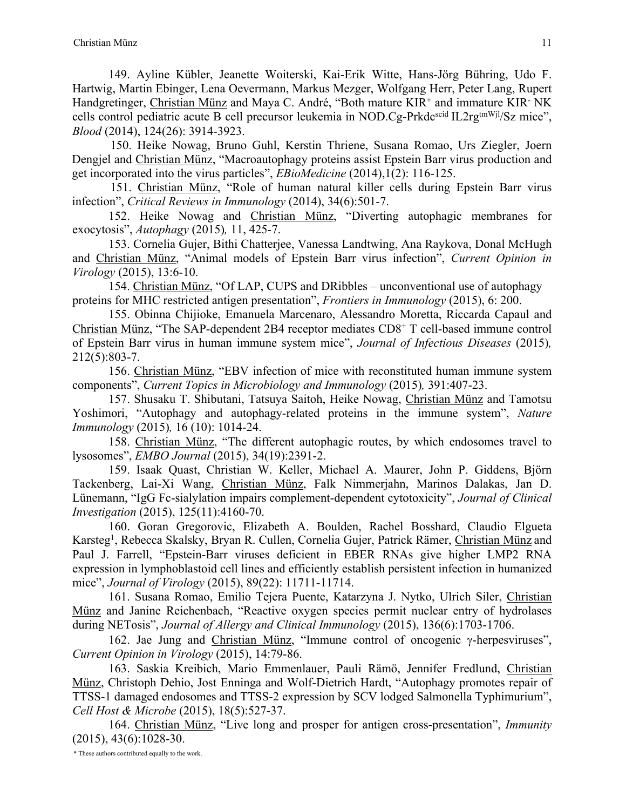149. Ayline Kübler, Jeanette Woiterski, Kai-Erik Witte, Hans-Jörg Bühring, Udo F. Hartwig, Martin Ebinger, Lena Oevermann, Markus Mezger, Wolfgang Herr, Peter Lang, Rupert Handgretinger, Christian Münz and Maya C. André, "Both mature KIR<sup>+</sup> and immature KIR<sup>-</sup> NK cells control pediatric acute B cell precursor leukemia in NOD.Cg-Prkdc<sup>scid</sup> IL2rg<sup>tmWjl</sup>/Sz mice", *Blood* (2014), 124(26): 3914-3923.

150. Heike Nowag, Bruno Guhl, Kerstin Thriene, Susana Romao, Urs Ziegler, Joern Dengjel and Christian Münz, "Macroautophagy proteins assist Epstein Barr virus production and get incorporated into the virus particles", *EBioMedicine* (2014),1(2): 116-125.

151. Christian Münz, "Role of human natural killer cells during Epstein Barr virus infection", *Critical Reviews in Immunology* (2014), 34(6):501-7.

152. Heike Nowag and Christian Münz, "Diverting autophagic membranes for exocytosis", *Autophagy* (2015)*,* 11, 425-7.

153. Cornelia Gujer, Bithi Chatterjee, Vanessa Landtwing, Ana Raykova, Donal McHugh and Christian Münz, "Animal models of Epstein Barr virus infection", *Current Opinion in Virology* (2015), 13:6-10.

154. Christian Münz, "Of LAP, CUPS and DRibbles – unconventional use of autophagy proteins for MHC restricted antigen presentation", *Frontiers in Immunology* (2015), 6: 200.

155. Obinna Chijioke, Emanuela Marcenaro, Alessandro Moretta, Riccarda Capaul and Christian Münz, "The SAP-dependent 2B4 receptor mediates CD8+ T cell-based immune control of Epstein Barr virus in human immune system mice", *Journal of Infectious Diseases* (2015)*,*  212(5):803-7.

156. Christian Münz, "EBV infection of mice with reconstituted human immune system components", *Current Topics in Microbiology and Immunology* (2015)*,* 391:407-23.

157. Shusaku T. Shibutani, Tatsuya Saitoh, Heike Nowag, Christian Münz and Tamotsu Yoshimori, "Autophagy and autophagy-related proteins in the immune system", *Nature Immunology* (2015)*,* 16 (10): 1014-24.

158. Christian Münz, "The different autophagic routes, by which endosomes travel to lysosomes", *EMBO Journal* (2015), 34(19):2391-2.

159. Isaak Quast, Christian W. Keller, Michael A. Maurer, John P. Giddens, Björn Tackenberg, Lai-Xi Wang, Christian Münz, Falk Nimmerjahn, Marinos Dalakas, Jan D. Lünemann, "IgG Fc-sialylation impairs complement-dependent cytotoxicity", *Journal of Clinical Investigation* (2015), 125(11):4160-70.

160. Goran Gregorovic, Elizabeth A. Boulden, Rachel Bosshard, Claudio Elgueta Karsteg<sup>1</sup>, Rebecca Skalsky, Bryan R. Cullen, Cornelia Gujer, Patrick Rämer, Christian Münz and Paul J. Farrell, "Epstein-Barr viruses deficient in EBER RNAs give higher LMP2 RNA expression in lymphoblastoid cell lines and efficiently establish persistent infection in humanized mice", *Journal of Virology* (2015), 89(22): 11711-11714.

161. Susana Romao, Emilio Tejera Puente, Katarzyna J. Nytko, Ulrich Siler, Christian Münz and Janine Reichenbach, "Reactive oxygen species permit nuclear entry of hydrolases during NETosis", *Journal of Allergy and Clinical Immunology* (2015), 136(6):1703-1706.

162. Jae Jung and Christian Münz, "Immune control of oncogenic  $\gamma$ -herpesviruses", *Current Opinion in Virology* (2015), 14:79-86.

163. Saskia Kreibich, Mario Emmenlauer, Pauli Rämö, Jennifer Fredlund, Christian Münz, Christoph Dehio, Jost Enninga and Wolf-Dietrich Hardt, "Autophagy promotes repair of TTSS-1 damaged endosomes and TTSS-2 expression by SCV lodged Salmonella Typhimurium", *Cell Host & Microbe* (2015), 18(5):527-37.

164. Christian Münz, "Live long and prosper for antigen cross-presentation", *Immunity* (2015), 43(6):1028-30.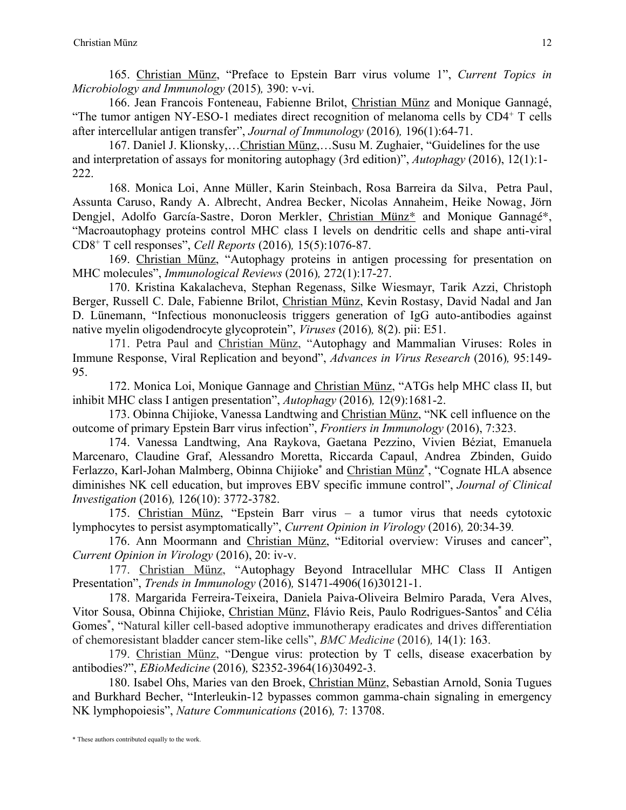165. Christian Münz, "Preface to Epstein Barr virus volume 1", *Current Topics in Microbiology and Immunology* (2015)*,* 390: v-vi.

166. Jean Francois Fonteneau, Fabienne Brilot, Christian Münz and Monique Gannagé, "The tumor antigen NY-ESO-1 mediates direct recognition of melanoma cells by  $CD4^+$  T cells after intercellular antigen transfer", *Journal of Immunology* (2016)*,* 196(1):64-71.

167. Daniel J. Klionsky,…Christian Münz,…Susu M. Zughaier, "Guidelines for the use and interpretation of assays for monitoring autophagy (3rd edition)", *Autophagy* (2016), 12(1):1- 222.

168. Monica Loi, Anne Müller, Karin Steinbach, Rosa Barreira da Silva, Petra Paul, Assunta Caruso, Randy A. Albrecht, Andrea Becker, Nicolas Annaheim, Heike Nowag, Jörn Dengjel, Adolfo García-Sastre, Doron Merkler, Christian Münz\* and Monique Gannagé\*, "Macroautophagy proteins control MHC class I levels on dendritic cells and shape anti-viral CD8+ T cell responses", *Cell Reports* (2016)*,* 15(5):1076-87.

169. Christian Münz, "Autophagy proteins in antigen processing for presentation on MHC molecules", *Immunological Reviews* (2016)*,* 272(1):17-27.

170. Kristina Kakalacheva, Stephan Regenass, Silke Wiesmayr, Tarik Azzi, Christoph Berger, Russell C. Dale, Fabienne Brilot, Christian Münz, Kevin Rostasy, David Nadal and Jan D. Lünemann, "Infectious mononucleosis triggers generation of IgG auto-antibodies against native myelin oligodendrocyte glycoprotein", *Viruses* (2016)*,* 8(2). pii: E51.

171. Petra Paul and Christian Münz, "Autophagy and Mammalian Viruses: Roles in Immune Response, Viral Replication and beyond", *Advances in Virus Research* (2016)*,* 95:149- 95.

172. Monica Loi, Monique Gannage and Christian Münz, "ATGs help MHC class II, but inhibit MHC class I antigen presentation", *Autophagy* (2016)*,* 12(9):1681-2.

173. Obinna Chijioke, Vanessa Landtwing and Christian Münz, "NK cell influence on the outcome of primary Epstein Barr virus infection", *Frontiers in Immunology* (2016), 7:323.

174. Vanessa Landtwing, Ana Raykova, Gaetana Pezzino, Vivien Béziat, Emanuela Marcenaro, Claudine Graf, Alessandro Moretta, Riccarda Capaul, Andrea Zbinden, Guido Ferlazzo, Karl-Johan Malmberg, Obinna Chijioke<sup>\*</sup> and *Christian Münz<sup>\*</sup>*, "Cognate HLA absence diminishes NK cell education, but improves EBV specific immune control", *Journal of Clinical Investigation* (2016)*,* 126(10): 3772-3782.

175. Christian Münz, "Epstein Barr virus – a tumor virus that needs cytotoxic lymphocytes to persist asymptomatically", *Current Opinion in Virology* (2016)*,* 20:34-39*.*

176. Ann Moormann and Christian Münz, "Editorial overview: Viruses and cancer", *Current Opinion in Virology* (2016), 20: iv-v.

177. Christian Münz, "Autophagy Beyond Intracellular MHC Class II Antigen Presentation", *Trends in Immunology* (2016)*,* S1471-4906(16)30121-1.

178. Margarida Ferreira-Teixeira, Daniela Paiva-Oliveira Belmiro Parada, Vera Alves, Vitor Sousa, Obinna Chijioke, Christian Münz, Flávio Reis, Paulo Rodrigues-Santos\* and Célia Gomes<sup>\*</sup>, "Natural killer cell-based adoptive immunotherapy eradicates and drives differentiation of chemoresistant bladder cancer stem-like cells", *BMC Medicine* (2016)*,* 14(1): 163.

179. Christian Münz, "Dengue virus: protection by T cells, disease exacerbation by antibodies?", *EBioMedicine* (2016)*,* S2352-3964(16)30492-3.

180. Isabel Ohs, Maries van den Broek, Christian Münz, Sebastian Arnold, Sonia Tugues and Burkhard Becher, "Interleukin-12 bypasses common gamma-chain signaling in emergency NK lymphopoiesis", *Nature Communications* (2016)*,* 7: 13708.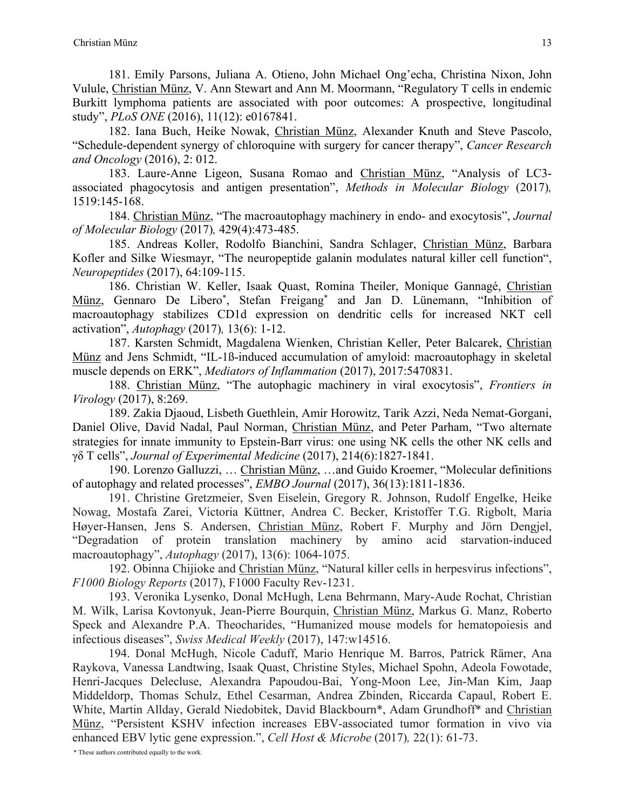181. Emily Parsons, Juliana A. Otieno, John Michael Ong'echa, Christina Nixon, John Vulule, Christian Münz, V. Ann Stewart and Ann M. Moormann, "Regulatory T cells in endemic Burkitt lymphoma patients are associated with poor outcomes: A prospective, longitudinal study", *PLoS ONE* (2016), 11(12): e0167841.

182. Iana Buch, Heike Nowak, Christian Münz, Alexander Knuth and Steve Pascolo, "Schedule-dependent synergy of chloroquine with surgery for cancer therapy", *Cancer Research and Oncology* (2016), 2: 012.

183. Laure-Anne Ligeon, Susana Romao and Christian Münz, "Analysis of LC3 associated phagocytosis and antigen presentation", *Methods in Molecular Biology* (2017)*,*  1519:145-168.

184. Christian Münz, "The macroautophagy machinery in endo- and exocytosis", *Journal of Molecular Biology* (2017)*,* 429(4):473-485.

185. Andreas Koller, Rodolfo Bianchini, Sandra Schlager, Christian Münz, Barbara Kofler and Silke Wiesmayr, "The neuropeptide galanin modulates natural killer cell function", *Neuropeptides* (2017), 64:109-115.

186. Christian W. Keller, Isaak Quast, Romina Theiler, Monique Gannagé, Christian Münz, Gennaro De Libero\*, Stefan Freigang\* and Jan D. Lünemann, "Inhibition of macroautophagy stabilizes CD1d expression on dendritic cells for increased NKT cell activation", *Autophagy* (2017)*,* 13(6): 1-12.

187. Karsten Schmidt, Magdalena Wienken, Christian Keller, Peter Balcarek, Christian Münz and Jens Schmidt, "IL-1ß-induced accumulation of amyloid: macroautophagy in skeletal muscle depends on ERK", *Mediators of Inflammation* (2017), 2017:5470831.

188. Christian Münz, "The autophagic machinery in viral exocytosis", *Frontiers in Virology* (2017), 8:269.

189. Zakia Djaoud, Lisbeth Guethlein, Amir Horowitz, Tarik Azzi, Neda Nemat-Gorgani, Daniel Olive, David Nadal, Paul Norman, Christian Münz, and Peter Parham, "Two alternate strategies for innate immunity to Epstein-Barr virus: one using NK cells the other NK cells and γδ T cells", *Journal of Experimental Medicine* (2017), 214(6):1827-1841.

190. Lorenzo Galluzzi, … Christian Münz, …and Guido Kroemer, "Molecular definitions of autophagy and related processes", *EMBO Journal* (2017), 36(13):1811-1836.

191. Christine Gretzmeier, Sven Eiselein, Gregory R. Johnson, Rudolf Engelke, Heike Nowag, Mostafa Zarei, Victoria Küttner, Andrea C. Becker, Kristoffer T.G. Rigbolt, Maria Høyer-Hansen, Jens S. Andersen, Christian Münz, Robert F. Murphy and Jörn Dengjel, "Degradation of protein translation machinery by amino acid starvation-induced macroautophagy", *Autophagy* (2017), 13(6): 1064-1075.

192. Obinna Chijioke and Christian Münz, "Natural killer cells in herpesvirus infections", *F1000 Biology Reports* (2017), F1000 Faculty Rev-1231.

193. Veronika Lysenko, Donal McHugh, Lena Behrmann, Mary-Aude Rochat, Christian M. Wilk, Larisa Kovtonyuk, Jean-Pierre Bourquin, Christian Münz, Markus G. Manz, Roberto Speck and Alexandre P.A. Theocharides, "Humanized mouse models for hematopoiesis and infectious diseases", *Swiss Medical Weekly* (2017), 147:w14516.

194. Donal McHugh, Nicole Caduff, Mario Henrique M. Barros, Patrick Rämer, Ana Raykova, Vanessa Landtwing, Isaak Quast, Christine Styles, Michael Spohn, Adeola Fowotade, Henri-Jacques Delecluse, Alexandra Papoudou-Bai, Yong-Moon Lee, Jin-Man Kim, Jaap Middeldorp, Thomas Schulz, Ethel Cesarman, Andrea Zbinden, Riccarda Capaul, Robert E. White, Martin Allday, Gerald Niedobitek, David Blackbourn\*, Adam Grundhoff\* and Christian Münz, "Persistent KSHV infection increases EBV-associated tumor formation in vivo via enhanced EBV lytic gene expression.", *Cell Host & Microbe* (2017)*,* 22(1): 61-73.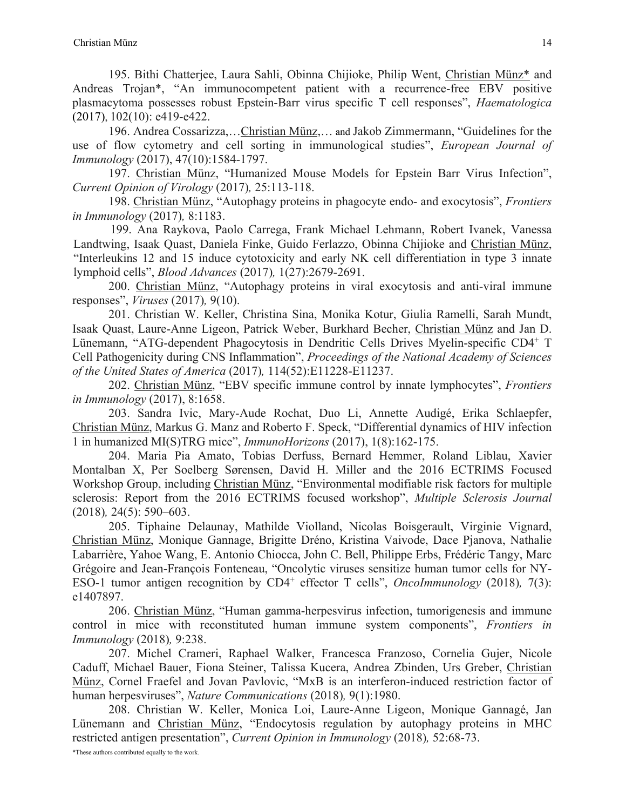195. Bithi Chatterjee, Laura Sahli, Obinna Chijioke, Philip Went, Christian Münz\* and Andreas Trojan\*, "An immunocompetent patient with a recurrence-free EBV positive plasmacytoma possesses robust Epstein-Barr virus specific T cell responses", *Haematologica* (2017), 102(10): e419-e422.

196. Andrea Cossarizza,…Christian Münz,… and Jakob Zimmermann, "Guidelines for the use of flow cytometry and cell sorting in immunological studies", *European Journal of Immunology* (2017), 47(10):1584-1797.

197. Christian Münz, "Humanized Mouse Models for Epstein Barr Virus Infection", *Current Opinion of Virology* (2017)*,* 25:113-118.

198. Christian Münz, "Autophagy proteins in phagocyte endo- and exocytosis", *Frontiers in Immunology* (2017)*,* 8:1183.

199. Ana Raykova, Paolo Carrega, Frank Michael Lehmann, Robert Ivanek, Vanessa Landtwing, Isaak Quast, Daniela Finke, Guido Ferlazzo, Obinna Chijioke and Christian Münz, "Interleukins 12 and 15 induce cytotoxicity and early NK cell differentiation in type 3 innate lymphoid cells", *Blood Advances* (2017)*,* 1(27):2679-2691.

200. Christian Münz, "Autophagy proteins in viral exocytosis and anti-viral immune responses", *Viruses* (2017)*,* 9(10).

201. Christian W. Keller, Christina Sina, Monika Kotur, Giulia Ramelli, Sarah Mundt, Isaak Quast, Laure-Anne Ligeon, Patrick Weber, Burkhard Becher, Christian Münz and Jan D. Lünemann, "ATG-dependent Phagocytosis in Dendritic Cells Drives Myelin-specific CD4+ T Cell Pathogenicity during CNS Inflammation", *Proceedings of the National Academy of Sciences of the United States of America* (2017)*,* 114(52):E11228-E11237.

202. Christian Münz, "EBV specific immune control by innate lymphocytes", *Frontiers in Immunology* (2017), 8:1658.

203. Sandra Ivic, Mary-Aude Rochat, Duo Li, Annette Audigé, Erika Schlaepfer, Christian Münz, Markus G. Manz and Roberto F. Speck, "Differential dynamics of HIV infection 1 in humanized MI(S)TRG mice", *ImmunoHorizons* (2017), 1(8):162-175.

204. Maria Pia Amato, Tobias Derfuss, Bernard Hemmer, Roland Liblau, Xavier Montalban X, Per Soelberg Sørensen, David H. Miller and the 2016 ECTRIMS Focused Workshop Group, including Christian Münz, "Environmental modifiable risk factors for multiple sclerosis: Report from the 2016 ECTRIMS focused workshop", *Multiple Sclerosis Journal* (2018)*,* 24(5): 590–603.

205. Tiphaine Delaunay, Mathilde Violland, Nicolas Boisgerault, Virginie Vignard, Christian Münz, Monique Gannage, Brigitte Dréno, Kristina Vaivode, Dace Pjanova, Nathalie Labarrière, Yahoe Wang, E. Antonio Chiocca, John C. Bell, Philippe Erbs, Frédéric Tangy, Marc Grégoire and Jean-François Fonteneau, "Oncolytic viruses sensitize human tumor cells for NY-ESO-1 tumor antigen recognition by CD4<sup>+</sup> effector T cells", *OncoImmunology* (2018), 7(3): e1407897.

206. Christian Münz, "Human gamma-herpesvirus infection, tumorigenesis and immune control in mice with reconstituted human immune system components", *Frontiers in Immunology* (2018)*,* 9:238.

207. Michel Crameri, Raphael Walker, Francesca Franzoso, Cornelia Gujer, Nicole Caduff, Michael Bauer, Fiona Steiner, Talissa Kucera, Andrea Zbinden, Urs Greber, Christian Münz, Cornel Fraefel and Jovan Pavlovic, "MxB is an interferon-induced restriction factor of human herpesviruses", *Nature Communications* (2018)*,* 9(1):1980.

208. Christian W. Keller, Monica Loi, Laure-Anne Ligeon, Monique Gannagé, Jan Lünemann and Christian Münz, "Endocytosis regulation by autophagy proteins in MHC restricted antigen presentation", *Current Opinion in Immunology* (2018)*,* 52:68-73.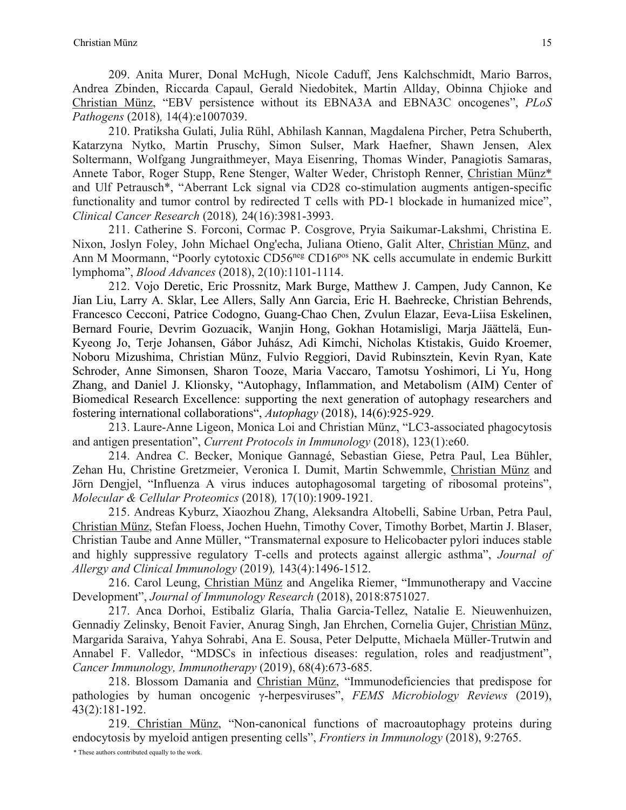209. Anita Murer, Donal McHugh, Nicole Caduff, Jens Kalchschmidt, Mario Barros, Andrea Zbinden, Riccarda Capaul, Gerald Niedobitek, Martin Allday, Obinna Chjioke and Christian Münz, "EBV persistence without its EBNA3A and EBNA3C oncogenes", *PLoS Pathogens* (2018)*,* 14(4):e1007039.

210. Pratiksha Gulati, Julia Rühl, Abhilash Kannan, Magdalena Pircher, Petra Schuberth, Katarzyna Nytko, Martin Pruschy, Simon Sulser, Mark Haefner, Shawn Jensen, Alex Soltermann, Wolfgang Jungraithmeyer, Maya Eisenring, Thomas Winder, Panagiotis Samaras, Annete Tabor, Roger Stupp, Rene Stenger, Walter Weder, Christoph Renner, Christian Münz\* and Ulf Petrausch\*, "Aberrant Lck signal via CD28 co-stimulation augments antigen-specific functionality and tumor control by redirected T cells with PD-1 blockade in humanized mice", *Clinical Cancer Research* (2018)*,* 24(16):3981-3993.

211. Catherine S. Forconi, Cormac P. Cosgrove, Pryia Saikumar-Lakshmi, Christina E. Nixon, Joslyn Foley, John Michael Ong'echa, Juliana Otieno, Galit Alter, Christian Münz, and Ann M Moormann, "Poorly cytotoxic CD56<sup>neg</sup> CD16<sup>pos</sup> NK cells accumulate in endemic Burkitt lymphoma", *Blood Advances* (2018), 2(10):1101-1114.

212. Vojo Deretic, Eric Prossnitz, Mark Burge, Matthew J. Campen, Judy Cannon, Ke Jian Liu, Larry A. Sklar, Lee Allers, Sally Ann Garcia, Eric H. Baehrecke, Christian Behrends, Francesco Cecconi, Patrice Codogno, Guang-Chao Chen, Zvulun Elazar, Eeva-Liisa Eskelinen, Bernard Fourie, Devrim Gozuacik, Wanjin Hong, Gokhan Hotamisligi, Marja Jäättelä, Eun-Kyeong Jo, Terje Johansen, Gábor Juhász, Adi Kimchi, Nicholas Ktistakis, Guido Kroemer, Noboru Mizushima, Christian Münz, Fulvio Reggiori, David Rubinsztein, Kevin Ryan, Kate Schroder, Anne Simonsen, Sharon Tooze, Maria Vaccaro, Tamotsu Yoshimori, Li Yu, Hong Zhang, and Daniel J. Klionsky, "Autophagy, Inflammation, and Metabolism (AIM) Center of Biomedical Research Excellence: supporting the next generation of autophagy researchers and fostering international collaborations", *Autophagy* (2018), 14(6):925-929.

213. Laure-Anne Ligeon, Monica Loi and Christian Münz, "LC3-associated phagocytosis and antigen presentation", *Current Protocols in Immunology* (2018), 123(1):e60.

214. Andrea C. Becker, Monique Gannagé, Sebastian Giese, Petra Paul, Lea Bühler, Zehan Hu, Christine Gretzmeier, Veronica I. Dumit, Martin Schwemmle, Christian Münz and Jörn Dengjel, "Influenza A virus induces autophagosomal targeting of ribosomal proteins", *Molecular & Cellular Proteomics* (2018)*,* 17(10):1909-1921.

215. Andreas Kyburz, Xiaozhou Zhang, Aleksandra Altobelli, Sabine Urban, Petra Paul, Christian Münz, Stefan Floess, Jochen Huehn, Timothy Cover, Timothy Borbet, Martin J. Blaser, Christian Taube and Anne Müller, "Transmaternal exposure to Helicobacter pylori induces stable and highly suppressive regulatory T-cells and protects against allergic asthma", *Journal of Allergy and Clinical Immunology* (2019)*,* 143(4):1496-1512.

216. Carol Leung, Christian Münz and Angelika Riemer, "Immunotherapy and Vaccine Development", *Journal of Immunology Research* (2018), 2018:8751027.

217. Anca Dorhoi, Estibaliz Glaría, Thalia Garcia-Tellez, Natalie E. Nieuwenhuizen, Gennadiy Zelinsky, Benoit Favier, Anurag Singh, Jan Ehrchen, Cornelia Gujer, Christian Münz, Margarida Saraiva, Yahya Sohrabi, Ana E. Sousa, Peter Delputte, Michaela Müller-Trutwin and Annabel F. Valledor, "MDSCs in infectious diseases: regulation, roles and readjustment", *Cancer Immunology, Immunotherapy* (2019), 68(4):673-685.

218. Blossom Damania and Christian Münz, "Immunodeficiencies that predispose for pathologies by human oncogenic γ-herpesviruses", *FEMS Microbiology Reviews* (2019), 43(2):181-192.

219. Christian Münz, "Non-canonical functions of macroautophagy proteins during endocytosis by myeloid antigen presenting cells", *Frontiers in Immunology* (2018), 9:2765.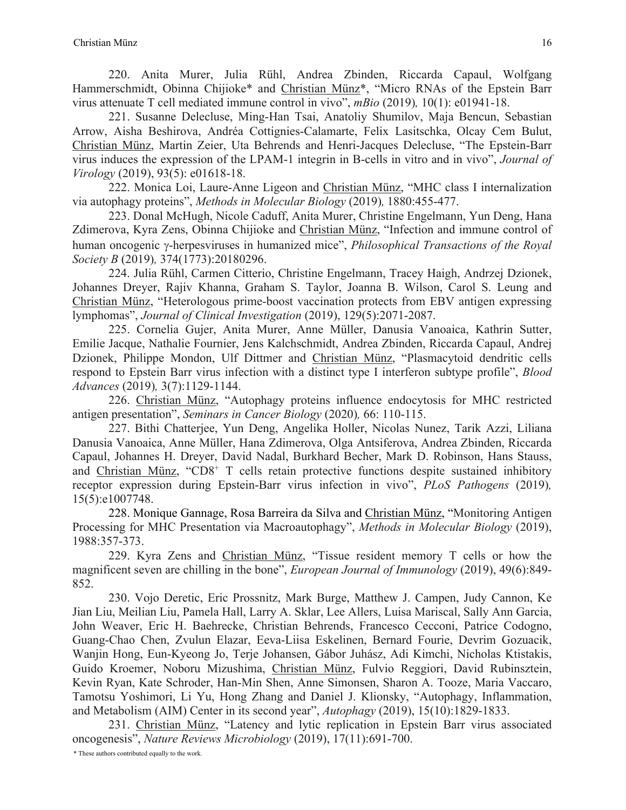220. Anita Murer, Julia Rühl, Andrea Zbinden, Riccarda Capaul, Wolfgang Hammerschmidt, Obinna Chijioke\* and Christian Münz<sup>\*</sup>, "Micro RNAs of the Epstein Barr virus attenuate T cell mediated immune control in vivo", *mBio* (2019)*,* 10(1): e01941-18.

221. Susanne Delecluse, Ming-Han Tsai, Anatoliy Shumilov, Maja Bencun, Sebastian Arrow, Aisha Beshirova, Andréa Cottignies-Calamarte, Felix Lasitschka, Olcay Cem Bulut, Christian Münz, Martin Zeier, Uta Behrends and Henri-Jacques Delecluse, "The Epstein-Barr virus induces the expression of the LPAM-1 integrin in B-cells in vitro and in vivo", *Journal of Virology* (2019), 93(5): e01618-18.

222. Monica Loi, Laure-Anne Ligeon and Christian Münz, "MHC class I internalization via autophagy proteins", *Methods in Molecular Biology* (2019)*,* 1880:455-477.

223. Donal McHugh, Nicole Caduff, Anita Murer, Christine Engelmann, Yun Deng, Hana Zdimerova, Kyra Zens, Obinna Chijioke and Christian Münz, "Infection and immune control of human oncogenic g-herpesviruses in humanized mice", *Philosophical Transactions of the Royal Society B* (2019)*,* 374(1773):20180296.

224. Julia Rühl, Carmen Citterio, Christine Engelmann, Tracey Haigh, Andrzej Dzionek, Johannes Dreyer, Rajiv Khanna, Graham S. Taylor, Joanna B. Wilson, Carol S. Leung and Christian Münz, "Heterologous prime-boost vaccination protects from EBV antigen expressing lymphomas", *Journal of Clinical Investigation* (2019), 129(5):2071-2087.

225. Cornelia Gujer, Anita Murer, Anne Müller, Danusia Vanoaica, Kathrin Sutter, Emilie Jacque, Nathalie Fournier, Jens Kalchschmidt, Andrea Zbinden, Riccarda Capaul, Andrej Dzionek, Philippe Mondon, Ulf Dittmer and Christian Münz, "Plasmacytoid dendritic cells respond to Epstein Barr virus infection with a distinct type I interferon subtype profile", *Blood Advances* (2019)*,* 3(7):1129-1144.

226. Christian Münz, "Autophagy proteins influence endocytosis for MHC restricted antigen presentation", *Seminars in Cancer Biology* (2020)*,* 66: 110-115.

227. Bithi Chatterjee, Yun Deng, Angelika Holler, Nicolas Nunez, Tarik Azzi, Liliana Danusia Vanoaica, Anne Müller, Hana Zdimerova, Olga Antsiferova, Andrea Zbinden, Riccarda Capaul, Johannes H. Dreyer, David Nadal, Burkhard Becher, Mark D. Robinson, Hans Stauss, and Christian Münz, "CD8+ T cells retain protective functions despite sustained inhibitory receptor expression during Epstein-Barr virus infection in vivo", *PLoS Pathogens* (2019)*,*  15(5):e1007748.

228. Monique Gannage, Rosa Barreira da Silva and Christian Münz, "Monitoring Antigen Processing for MHC Presentation via Macroautophagy", *Methods in Molecular Biology* (2019), 1988:357-373.

229. Kyra Zens and Christian Münz, "Tissue resident memory T cells or how the magnificent seven are chilling in the bone", *European Journal of Immunology* (2019), 49(6):849- 852.

230. Vojo Deretic, Eric Prossnitz, Mark Burge, Matthew J. Campen, Judy Cannon, Ke Jian Liu, Meilian Liu, Pamela Hall, Larry A. Sklar, Lee Allers, Luisa Mariscal, Sally Ann Garcia, John Weaver, Eric H. Baehrecke, Christian Behrends, Francesco Cecconi, Patrice Codogno, Guang-Chao Chen, Zvulun Elazar, Eeva-Liisa Eskelinen, Bernard Fourie, Devrim Gozuacik, Wanjin Hong, Eun-Kyeong Jo, Terje Johansen, Gábor Juhász, Adi Kimchi, Nicholas Ktistakis, Guido Kroemer, Noboru Mizushima, Christian Münz, Fulvio Reggiori, David Rubinsztein, Kevin Ryan, Kate Schroder, Han-Min Shen, Anne Simonsen, Sharon A. Tooze, Maria Vaccaro, Tamotsu Yoshimori, Li Yu, Hong Zhang and Daniel J. Klionsky, "Autophagy, Inflammation, and Metabolism (AIM) Center in its second year", *Autophagy* (2019), 15(10):1829-1833.

231. Christian Münz, "Latency and lytic replication in Epstein Barr virus associated oncogenesis", *Nature Reviews Microbiology* (2019), 17(11):691-700.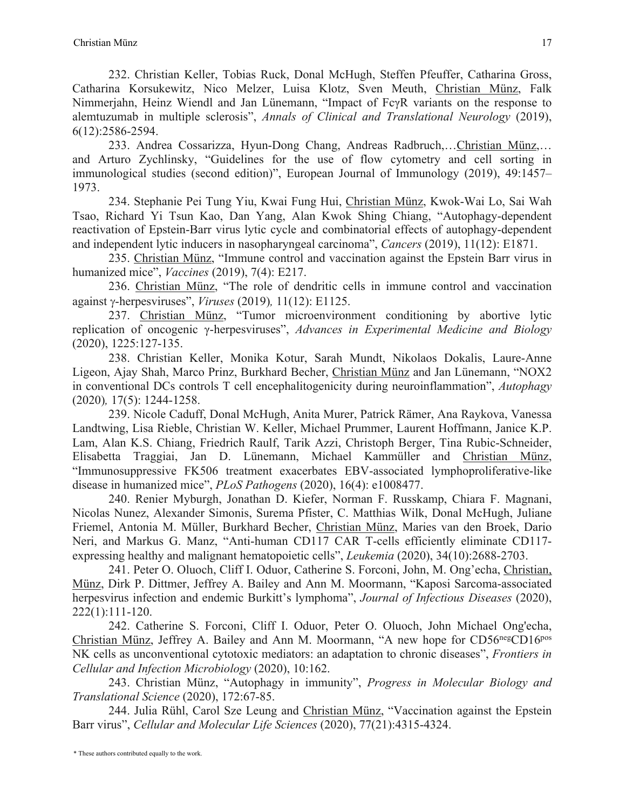232. Christian Keller, Tobias Ruck, Donal McHugh, Steffen Pfeuffer, Catharina Gross, Catharina Korsukewitz, Nico Melzer, Luisa Klotz, Sven Meuth, Christian Münz, Falk Nimmerjahn, Heinz Wiendl and Jan Lünemann, "Impact of FcγR variants on the response to alemtuzumab in multiple sclerosis", *Annals of Clinical and Translational Neurology* (2019), 6(12):2586-2594.

233. Andrea Cossarizza, Hyun‐Dong Chang, Andreas Radbruch,…Christian Münz,… and Arturo Zychlinsky, "Guidelines for the use of flow cytometry and cell sorting in immunological studies (second edition)", European Journal of Immunology (2019), 49:1457– 1973.

234. Stephanie Pei Tung Yiu, Kwai Fung Hui, Christian Münz, Kwok‐Wai Lo, Sai Wah Tsao, Richard Yi Tsun Kao, Dan Yang, Alan Kwok Shing Chiang, "Autophagy-dependent reactivation of Epstein-Barr virus lytic cycle and combinatorial effects of autophagy-dependent and independent lytic inducers in nasopharyngeal carcinoma", *Cancers* (2019), 11(12): E1871.

235. Christian Münz, "Immune control and vaccination against the Epstein Barr virus in humanized mice", *Vaccines* (2019), 7(4): E217.

236. Christian Münz, "The role of dendritic cells in immune control and vaccination against g-herpesviruses", *Viruses* (2019)*,* 11(12): E1125.

237. Christian Münz, "Tumor microenvironment conditioning by abortive lytic replication of oncogenic γ-herpesviruses", *Advances in Experimental Medicine and Biology* (2020), 1225:127-135.

238. Christian Keller, Monika Kotur, Sarah Mundt, Nikolaos Dokalis, Laure-Anne Ligeon, Ajay Shah, Marco Prinz, Burkhard Becher, Christian Münz and Jan Lünemann, "NOX2 in conventional DCs controls T cell encephalitogenicity during neuroinflammation", *Autophagy* (2020)*,* 17(5): 1244-1258.

239. Nicole Caduff, Donal McHugh, Anita Murer, Patrick Rämer, Ana Raykova, Vanessa Landtwing, Lisa Rieble, Christian W. Keller, Michael Prummer, Laurent Hoffmann, Janice K.P. Lam, Alan K.S. Chiang, Friedrich Raulf, Tarik Azzi, Christoph Berger, Tina Rubic-Schneider, Elisabetta Traggiai, Jan D. Lünemann, Michael Kammüller and Christian Münz, "Immunosuppressive FK506 treatment exacerbates EBV-associated lymphoproliferative-like disease in humanized mice", *PLoS Pathogens* (2020), 16(4): e1008477.

240. Renier Myburgh, Jonathan D. Kiefer, Norman F. Russkamp, Chiara F. Magnani, Nicolas Nunez, Alexander Simonis, Surema Pfister, C. Matthias Wilk, Donal McHugh, Juliane Friemel, Antonia M. Müller, Burkhard Becher, Christian Münz, Maries van den Broek, Dario Neri, and Markus G. Manz, "Anti-human CD117 CAR T-cells efficiently eliminate CD117 expressing healthy and malignant hematopoietic cells", *Leukemia* (2020), 34(10):2688-2703.

241. Peter O. Oluoch, Cliff I. Oduor, Catherine S. Forconi, John, M. Ong'echa, Christian, Münz, Dirk P. Dittmer, Jeffrey A. Bailey and Ann M. Moormann, "Kaposi Sarcoma-associated herpesvirus infection and endemic Burkitt's lymphoma", *Journal of Infectious Diseases* (2020), 222(1):111-120.

242. Catherine S. Forconi, Cliff I. Oduor, Peter O. Oluoch, John Michael Ong'echa, Christian Münz, Jeffrey A. Bailey and Ann M. Moormann, "A new hope for CD56<sup>neg</sup>CD16<sup>pos</sup> NK cells as unconventional cytotoxic mediators: an adaptation to chronic diseases", *Frontiers in Cellular and Infection Microbiology* (2020), 10:162.

243. Christian Münz, "Autophagy in immunity", *Progress in Molecular Biology and Translational Science* (2020), 172:67-85.

244. Julia Rühl, Carol Sze Leung and Christian Münz, "Vaccination against the Epstein Barr virus", *Cellular and Molecular Life Sciences* (2020), 77(21):4315-4324.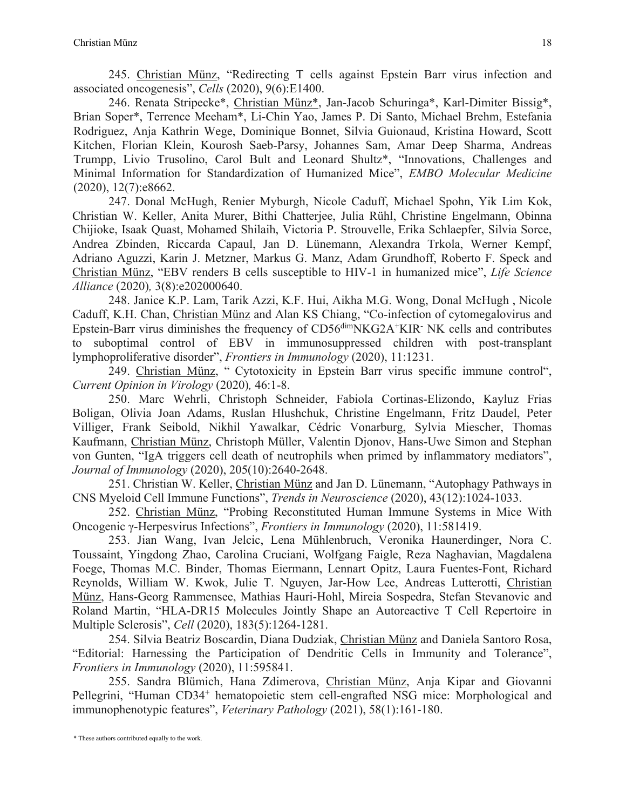245. Christian Münz, "Redirecting T cells against Epstein Barr virus infection and associated oncogenesis", *Cells* (2020), 9(6):E1400.

246. Renata Stripecke\*, Christian Münz\*, Jan-Jacob Schuringa\*, Karl-Dimiter Bissig\*, Brian Soper\*, Terrence Meeham\*, Li-Chin Yao, James P. Di Santo, Michael Brehm, Estefania Rodriguez, Anja Kathrin Wege, Dominique Bonnet, Silvia Guionaud, Kristina Howard, Scott Kitchen, Florian Klein, Kourosh Saeb-Parsy, Johannes Sam, Amar Deep Sharma, Andreas Trumpp, Livio Trusolino, Carol Bult and Leonard Shultz\*, "Innovations, Challenges and Minimal Information for Standardization of Humanized Mice", *EMBO Molecular Medicine* (2020), 12(7):e8662.

247. Donal McHugh, Renier Myburgh, Nicole Caduff, Michael Spohn, Yik Lim Kok, Christian W. Keller, Anita Murer, Bithi Chatterjee, Julia Rühl, Christine Engelmann, Obinna Chijioke, Isaak Quast, Mohamed Shilaih, Victoria P. Strouvelle, Erika Schlaepfer, Silvia Sorce, Andrea Zbinden, Riccarda Capaul, Jan D. Lünemann, Alexandra Trkola, Werner Kempf, Adriano Aguzzi, Karin J. Metzner, Markus G. Manz, Adam Grundhoff, Roberto F. Speck and Christian Münz, "EBV renders B cells susceptible to HIV-1 in humanized mice", *Life Science Alliance* (2020)*,* 3(8):e202000640.

248. Janice K.P. Lam, Tarik Azzi, K.F. Hui, Aikha M.G. Wong, Donal McHugh , Nicole Caduff, K.H. Chan, Christian Münz and Alan KS Chiang, "Co-infection of cytomegalovirus and Epstein-Barr virus diminishes the frequency of CD56dimNKG2A+KIR- NK cells and contributes to suboptimal control of EBV in immunosuppressed children with post-transplant lymphoproliferative disorder", *Frontiers in Immunology* (2020), 11:1231.

249. Christian Münz, " Cytotoxicity in Epstein Barr virus specific immune control", *Current Opinion in Virology* (2020)*,* 46:1-8.

250. Marc Wehrli, Christoph Schneider, Fabiola Cortinas-Elizondo, Kayluz Frias Boligan, Olivia Joan Adams, Ruslan Hlushchuk, Christine Engelmann, Fritz Daudel, Peter Villiger, Frank Seibold, Nikhil Yawalkar, Cédric Vonarburg, Sylvia Miescher, Thomas Kaufmann, Christian Münz, Christoph Müller, Valentin Djonov, Hans-Uwe Simon and Stephan von Gunten, "IgA triggers cell death of neutrophils when primed by inflammatory mediators", *Journal of Immunology* (2020), 205(10):2640-2648.

251. Christian W. Keller, Christian Münz and Jan D. Lünemann, "Autophagy Pathways in CNS Myeloid Cell Immune Functions", *Trends in Neuroscience* (2020), 43(12):1024-1033.

252. Christian Münz, "Probing Reconstituted Human Immune Systems in Mice With Oncogenic γ-Herpesvirus Infections", *Frontiers in Immunology* (2020), 11:581419.

253. Jian Wang, Ivan Jelcic, Lena Mühlenbruch, Veronika Haunerdinger, Nora C. Toussaint, Yingdong Zhao, Carolina Cruciani, Wolfgang Faigle, Reza Naghavian, Magdalena Foege, Thomas M.C. Binder, Thomas Eiermann, Lennart Opitz, Laura Fuentes-Font, Richard Reynolds, William W. Kwok, Julie T. Nguyen, Jar-How Lee, Andreas Lutterotti, Christian Münz, Hans-Georg Rammensee, Mathias Hauri-Hohl, Mireia Sospedra, Stefan Stevanovic and Roland Martin, "HLA-DR15 Molecules Jointly Shape an Autoreactive T Cell Repertoire in Multiple Sclerosis", *Cell* (2020), 183(5):1264-1281.

254. Silvia Beatriz Boscardin, Diana Dudziak, Christian Münz and Daniela Santoro Rosa, "Editorial: Harnessing the Participation of Dendritic Cells in Immunity and Tolerance", *Frontiers in Immunology* (2020), 11:595841.

255. Sandra Blümich, Hana Zdimerova, Christian Münz, Anja Kipar and Giovanni Pellegrini, "Human CD34+ hematopoietic stem cell-engrafted NSG mice: Morphological and immunophenotypic features", *Veterinary Pathology* (2021), 58(1):161-180.

<sup>\*</sup> These authors contributed equally to the work.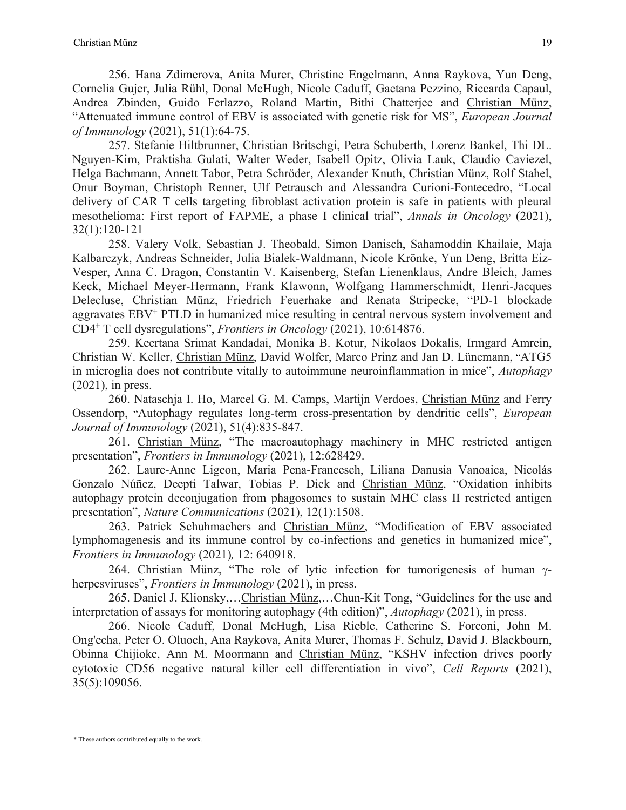256. Hana Zdimerova, Anita Murer, Christine Engelmann, Anna Raykova, Yun Deng, Cornelia Gujer, Julia Rühl, Donal McHugh, Nicole Caduff, Gaetana Pezzino, Riccarda Capaul, Andrea Zbinden, Guido Ferlazzo, Roland Martin, Bithi Chatterjee and Christian Münz, "Attenuated immune control of EBV is associated with genetic risk for MS", *European Journal of Immunology* (2021), 51(1):64-75.

257. Stefanie Hiltbrunner, Christian Britschgi, Petra Schuberth, Lorenz Bankel, Thi DL. Nguyen-Kim, Praktisha Gulati, Walter Weder, Isabell Opitz, Olivia Lauk, Claudio Caviezel, Helga Bachmann, Annett Tabor, Petra Schröder, Alexander Knuth, Christian Münz, Rolf Stahel, Onur Boyman, Christoph Renner, Ulf Petrausch and Alessandra Curioni-Fontecedro, "Local delivery of CAR T cells targeting fibroblast activation protein is safe in patients with pleural mesothelioma: First report of FAPME, a phase I clinical trial", *Annals in Oncology* (2021), 32(1):120-121

258. Valery Volk, Sebastian J. Theobald, Simon Danisch, Sahamoddin Khailaie, Maja Kalbarczyk, Andreas Schneider, Julia Bialek-Waldmann, Nicole Krönke, Yun Deng, Britta Eiz-Vesper, Anna C. Dragon, Constantin V. Kaisenberg, Stefan Lienenklaus, Andre Bleich, James Keck, Michael Meyer-Hermann, Frank Klawonn, Wolfgang Hammerschmidt, Henri-Jacques Delecluse, Christian Münz, Friedrich Feuerhake and Renata Stripecke, "PD-1 blockade aggravates EBV+ PTLD in humanized mice resulting in central nervous system involvement and CD4+ T cell dysregulations", *Frontiers in Oncology* (2021), 10:614876.

259. Keertana Srimat Kandadai, Monika B. Kotur, Nikolaos Dokalis, Irmgard Amrein, Christian W. Keller, Christian Münz, David Wolfer, Marco Prinz and Jan D. Lünemann, "ATG5 in microglia does not contribute vitally to autoimmune neuroinflammation in mice", *Autophagy* (2021), in press.

260. Nataschja I. Ho, Marcel G. M. Camps, Martijn Verdoes, Christian Münz and Ferry Ossendorp, "Autophagy regulates long-term cross-presentation by dendritic cells", *European Journal of Immunology* (2021), 51(4):835-847.

261. Christian Münz, "The macroautophagy machinery in MHC restricted antigen presentation", *Frontiers in Immunology* (2021), 12:628429.

262. Laure-Anne Ligeon, Maria Pena-Francesch, Liliana Danusia Vanoaica, Nicolás Gonzalo Núñez, Deepti Talwar, Tobias P. Dick and Christian Münz, "Oxidation inhibits autophagy protein deconjugation from phagosomes to sustain MHC class II restricted antigen presentation", *Nature Communications* (2021), 12(1):1508.

263. Patrick Schuhmachers and Christian Münz, "Modification of EBV associated lymphomagenesis and its immune control by co-infections and genetics in humanized mice", *Frontiers in Immunology* (2021)*,* 12: 640918.

264. Christian Münz, "The role of lytic infection for tumorigenesis of human  $\gamma$ herpesviruses", *Frontiers in Immunology* (2021), in press.

265. Daniel J. Klionsky,…Christian Münz,…Chun-Kit Tong, "Guidelines for the use and interpretation of assays for monitoring autophagy (4th edition)", *Autophagy* (2021), in press.

266. Nicole Caduff, Donal McHugh, Lisa Rieble, Catherine S. Forconi, John M. Ong'echa, Peter O. Oluoch, Ana Raykova, Anita Murer, Thomas F. Schulz, David J. Blackbourn, Obinna Chijioke, Ann M. Moormann and Christian Münz, "KSHV infection drives poorly cytotoxic CD56 negative natural killer cell differentiation in vivo", *Cell Reports* (2021), 35(5):109056.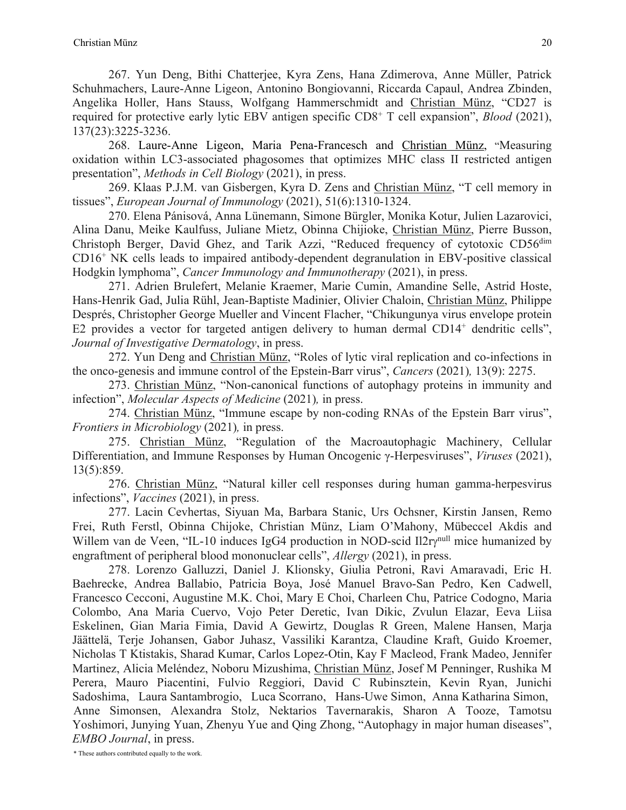267. Yun Deng, Bithi Chatterjee, Kyra Zens, Hana Zdimerova, Anne Müller, Patrick Schuhmachers, Laure-Anne Ligeon, Antonino Bongiovanni, Riccarda Capaul, Andrea Zbinden, Angelika Holler, Hans Stauss, Wolfgang Hammerschmidt and Christian Münz, "CD27 is required for protective early lytic EBV antigen specific CD8+ T cell expansion", *Blood* (2021), 137(23):3225-3236.

268. Laure-Anne Ligeon, Maria Pena-Francesch and Christian Münz, "Measuring oxidation within LC3-associated phagosomes that optimizes MHC class II restricted antigen presentation", *Methods in Cell Biology* (2021), in press.

269. Klaas P.J.M. van Gisbergen, Kyra D. Zens and Christian Münz, "T cell memory in tissues", *European Journal of Immunology* (2021), 51(6):1310-1324.

270. Elena Pánisová, Anna Lünemann, Simone Bürgler, Monika Kotur, Julien Lazarovici, Alina Danu, Meike Kaulfuss, Juliane Mietz, Obinna Chijioke, Christian Münz, Pierre Busson, Christoph Berger, David Ghez, and Tarik Azzi, "Reduced frequency of cytotoxic CD56<sup>dim</sup> CD16+ NK cells leads to impaired antibody-dependent degranulation in EBV-positive classical Hodgkin lymphoma", *Cancer Immunology and Immunotherapy* (2021), in press.

271. Adrien Brulefert, Melanie Kraemer, Marie Cumin, Amandine Selle, Astrid Hoste, Hans-Henrik Gad, Julia Rühl, Jean-Baptiste Madinier, Olivier Chaloin, Christian Münz, Philippe Després, Christopher George Mueller and Vincent Flacher, "Chikungunya virus envelope protein E2 provides a vector for targeted antigen delivery to human dermal  $CD14<sup>+</sup>$  dendritic cells", *Journal of Investigative Dermatology*, in press.

272. Yun Deng and Christian Münz, "Roles of lytic viral replication and co-infections in the onco-genesis and immune control of the Epstein-Barr virus", *Cancers* (2021)*,* 13(9): 2275.

273. Christian Münz, "Non-canonical functions of autophagy proteins in immunity and infection", *Molecular Aspects of Medicine* (2021)*,* in press.

274. Christian Münz, "Immune escape by non-coding RNAs of the Epstein Barr virus", *Frontiers in Microbiology* (2021)*,* in press.

275. Christian Münz, "Regulation of the Macroautophagic Machinery, Cellular Differentiation, and Immune Responses by Human Oncogenic γ-Herpesviruses", *Viruses* (2021), 13(5):859.

276. Christian Münz, "Natural killer cell responses during human gamma-herpesvirus infections", *Vaccines* (2021), in press.

277. Lacin Cevhertas, Siyuan Ma, Barbara Stanic, Urs Ochsner, Kirstin Jansen, Remo Frei, Ruth Ferstl, Obinna Chijoke, Christian Münz, Liam O'Mahony, Mübeccel Akdis and Willem van de Veen, "IL-10 induces IgG4 production in NOD-scid Il2ry<sup>null</sup> mice humanized by engraftment of peripheral blood mononuclear cells", *Allergy* (2021), in press.

278. Lorenzo Galluzzi, Daniel J. Klionsky, Giulia Petroni, Ravi Amaravadi, Eric H. Baehrecke, Andrea Ballabio, Patricia Boya, José Manuel Bravo-San Pedro, Ken Cadwell, Francesco Cecconi, Augustine M.K. Choi, Mary E Choi, Charleen Chu, Patrice Codogno, Maria Colombo, Ana Maria Cuervo, Vojo Peter Deretic, Ivan Dikic, Zvulun Elazar, Eeva Liisa Eskelinen, Gian Maria Fimia, David A Gewirtz, Douglas R Green, Malene Hansen, Marja Jäättelä, Terje Johansen, Gabor Juhasz, Vassiliki Karantza, Claudine Kraft, Guido Kroemer, Nicholas T Ktistakis, Sharad Kumar, Carlos Lopez-Otin, Kay F Macleod, Frank Madeo, Jennifer Martinez, Alicia Meléndez, Noboru Mizushima, Christian Münz, Josef M Penninger, Rushika M Perera, Mauro Piacentini, Fulvio Reggiori, David C Rubinsztein, Kevin Ryan, Junichi Sadoshima, Laura Santambrogio, Luca Scorrano, Hans-Uwe Simon, Anna Katharina Simon, Anne Simonsen, Alexandra Stolz, Nektarios Tavernarakis, Sharon A Tooze, Tamotsu Yoshimori, Junying Yuan, Zhenyu Yue and Qing Zhong, "Autophagy in major human diseases", *EMBO Journal*, in press.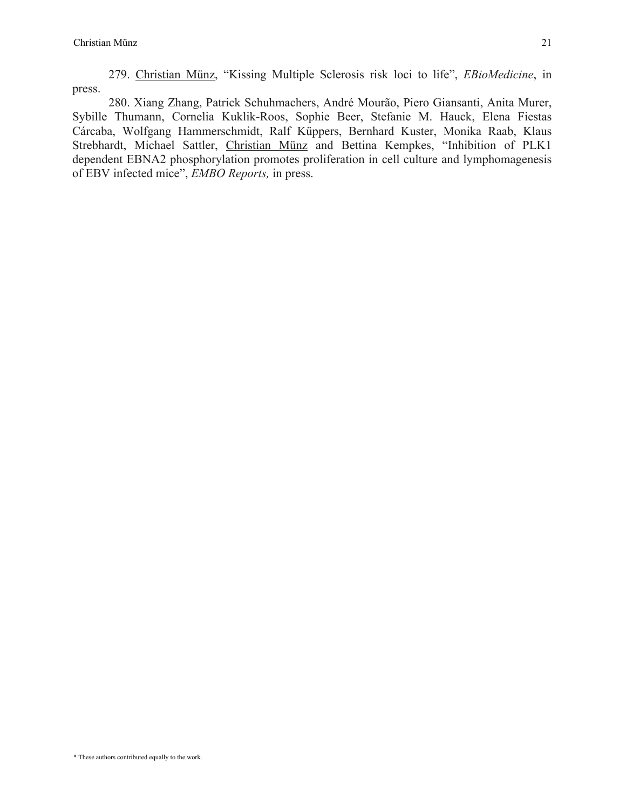279. Christian Münz, "Kissing Multiple Sclerosis risk loci to life", *EBioMedicine*, in press.

280. Xiang Zhang, Patrick Schuhmachers, André Mourão, Piero Giansanti, Anita Murer, Sybille Thumann, Cornelia Kuklik-Roos, Sophie Beer, Stefanie M. Hauck, Elena Fiestas Cárcaba, Wolfgang Hammerschmidt, Ralf Küppers, Bernhard Kuster, Monika Raab, Klaus Strebhardt, Michael Sattler, Christian Münz and Bettina Kempkes, "Inhibition of PLK1 dependent EBNA2 phosphorylation promotes proliferation in cell culture and lymphomagenesis of EBV infected mice", *EMBO Reports,* in press.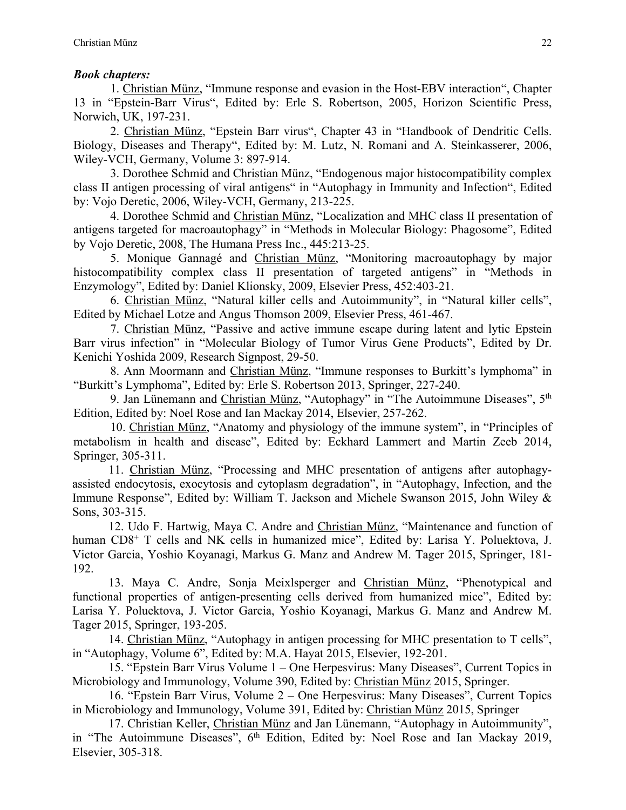## *Book chapters:*

1. Christian Münz, "Immune response and evasion in the Host-EBV interaction", Chapter 13 in "Epstein-Barr Virus", Edited by: Erle S. Robertson, 2005, Horizon Scientific Press, Norwich, UK, 197-231.

2. Christian Münz, "Epstein Barr virus", Chapter 43 in "Handbook of Dendritic Cells. Biology, Diseases and Therapy", Edited by: M. Lutz, N. Romani and A. Steinkasserer, 2006, Wiley-VCH, Germany, Volume 3: 897-914.

3. Dorothee Schmid and Christian Münz, "Endogenous major histocompatibility complex class II antigen processing of viral antigens" in "Autophagy in Immunity and Infection", Edited by: Vojo Deretic, 2006, Wiley-VCH, Germany, 213-225.

4. Dorothee Schmid and Christian Münz, "Localization and MHC class II presentation of antigens targeted for macroautophagy" in "Methods in Molecular Biology: Phagosome", Edited by Vojo Deretic, 2008, The Humana Press Inc., 445:213-25.

5. Monique Gannagé and Christian Münz, "Monitoring macroautophagy by major histocompatibility complex class II presentation of targeted antigens" in "Methods in Enzymology", Edited by: Daniel Klionsky, 2009, Elsevier Press, 452:403-21.

6. Christian Münz, "Natural killer cells and Autoimmunity", in "Natural killer cells", Edited by Michael Lotze and Angus Thomson 2009, Elsevier Press, 461-467.

7. Christian Münz, "Passive and active immune escape during latent and lytic Epstein Barr virus infection" in "Molecular Biology of Tumor Virus Gene Products", Edited by Dr. Kenichi Yoshida 2009, Research Signpost, 29-50.

8. Ann Moormann and Christian Münz, "Immune responses to Burkitt's lymphoma" in "Burkitt's Lymphoma", Edited by: Erle S. Robertson 2013, Springer, 227-240.

9. Jan Lünemann and Christian Münz, "Autophagy" in "The Autoimmune Diseases", 5<sup>th</sup> Edition, Edited by: Noel Rose and Ian Mackay 2014, Elsevier, 257-262.

10. Christian Münz, "Anatomy and physiology of the immune system", in "Principles of metabolism in health and disease", Edited by: Eckhard Lammert and Martin Zeeb 2014, Springer, 305-311.

11. Christian Münz, "Processing and MHC presentation of antigens after autophagyassisted endocytosis, exocytosis and cytoplasm degradation", in "Autophagy, Infection, and the Immune Response", Edited by: William T. Jackson and Michele Swanson 2015, John Wiley & Sons, 303-315.

12. Udo F. Hartwig, Maya C. Andre and Christian Münz, "Maintenance and function of human CD8<sup>+</sup> T cells and NK cells in humanized mice", Edited by: Larisa Y. Poluektova, J. Victor Garcia, Yoshio Koyanagi, Markus G. Manz and Andrew M. Tager 2015, Springer, 181- 192.

13. Maya C. Andre, Sonja Meixlsperger and Christian Münz, "Phenotypical and functional properties of antigen-presenting cells derived from humanized mice", Edited by: Larisa Y. Poluektova, J. Victor Garcia, Yoshio Koyanagi, Markus G. Manz and Andrew M. Tager 2015, Springer, 193-205.

14. Christian Münz, "Autophagy in antigen processing for MHC presentation to T cells", in "Autophagy, Volume 6", Edited by: M.A. Hayat 2015, Elsevier, 192-201.

15. "Epstein Barr Virus Volume 1 – One Herpesvirus: Many Diseases", Current Topics in Microbiology and Immunology, Volume 390, Edited by: Christian Münz 2015, Springer.

16. "Epstein Barr Virus, Volume 2 – One Herpesvirus: Many Diseases", Current Topics in Microbiology and Immunology, Volume 391, Edited by: Christian Münz 2015, Springer

17. Christian Keller, Christian Münz and Jan Lünemann, "Autophagy in Autoimmunity", in "The Autoimmune Diseases", 6<sup>th</sup> Edition, Edited by: Noel Rose and Ian Mackay 2019, Elsevier, 305-318.